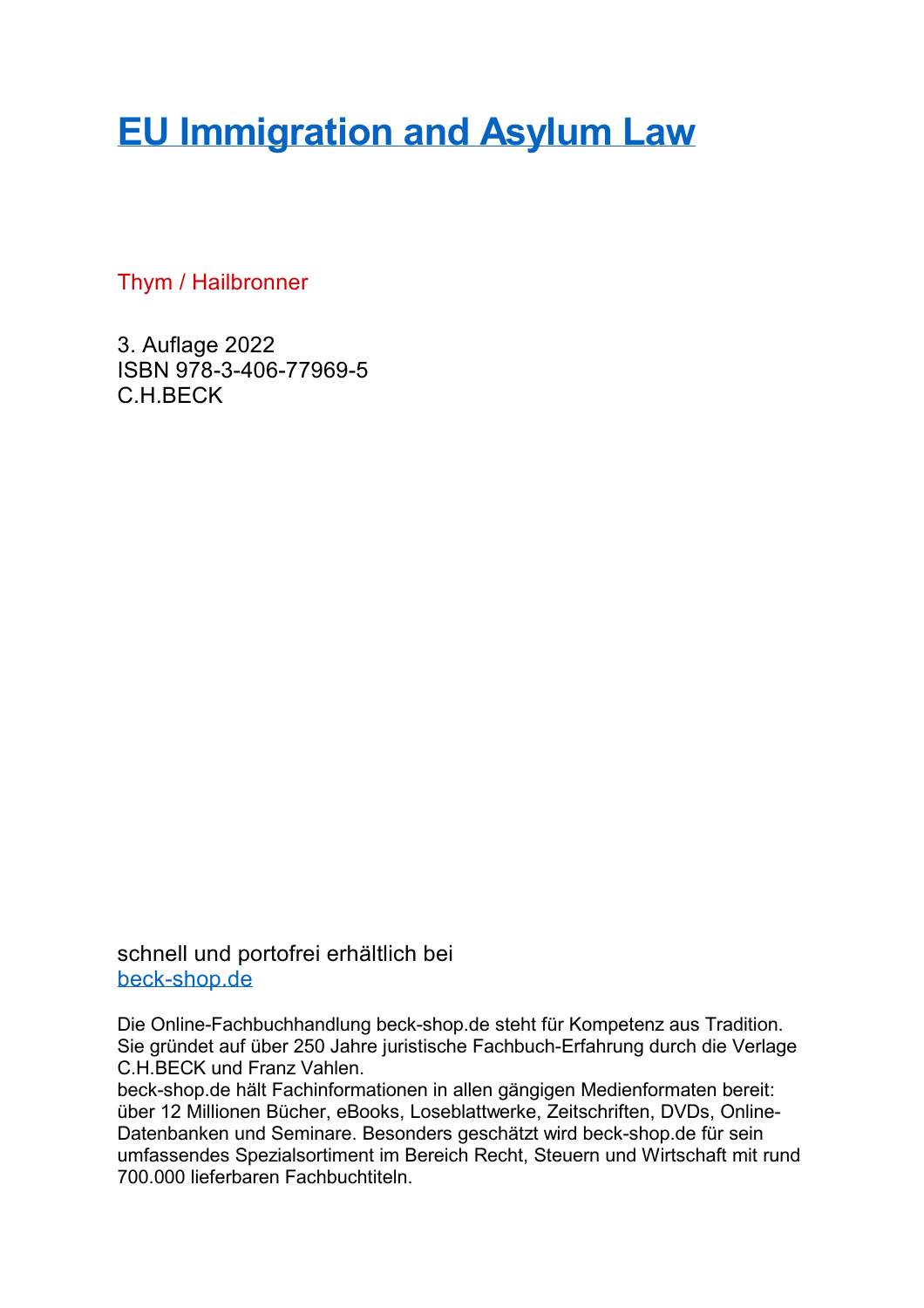## **EU [Immigration](https://www.beck-shop.de/hailbronner-thym-eu-immigration-asylum-law/product/33016145?utm_source=pdf&utm_medium=clickthru_ihv&utm_campaign=pdf_33016145&campaign=pdf/33016145) and Asylum Law**

Thym / Hailbronner

3. Auflage 2022 ISBN 978-3-406-77969-5 C.H.BECK

schnell und portofrei erhältlich bei [beck-shop.de](https://www.beck-shop.de/?utm_source=pdf&utm_medium=clickthru_ihv&utm_campaign=pdf_33016145&campaign=pdf/33016145)

Die Online-Fachbuchhandlung beck-shop.de steht für Kompetenz aus Tradition. Sie gründet auf über 250 Jahre juristische Fachbuch-Erfahrung durch die Verlage C.H.BECK und Franz Vahlen.

beck-shop.de hält Fachinformationen in allen gängigen Medienformaten bereit: über 12 Millionen Bücher, eBooks, Loseblattwerke, Zeitschriften, DVDs, Online- Datenbanken und Seminare. Besonders geschätzt wird beck-shop.de für sein umfassendes Spezialsortiment im Bereich Recht, Steuern und Wirtschaft mit rund 700.000 lieferbaren Fachbuchtiteln.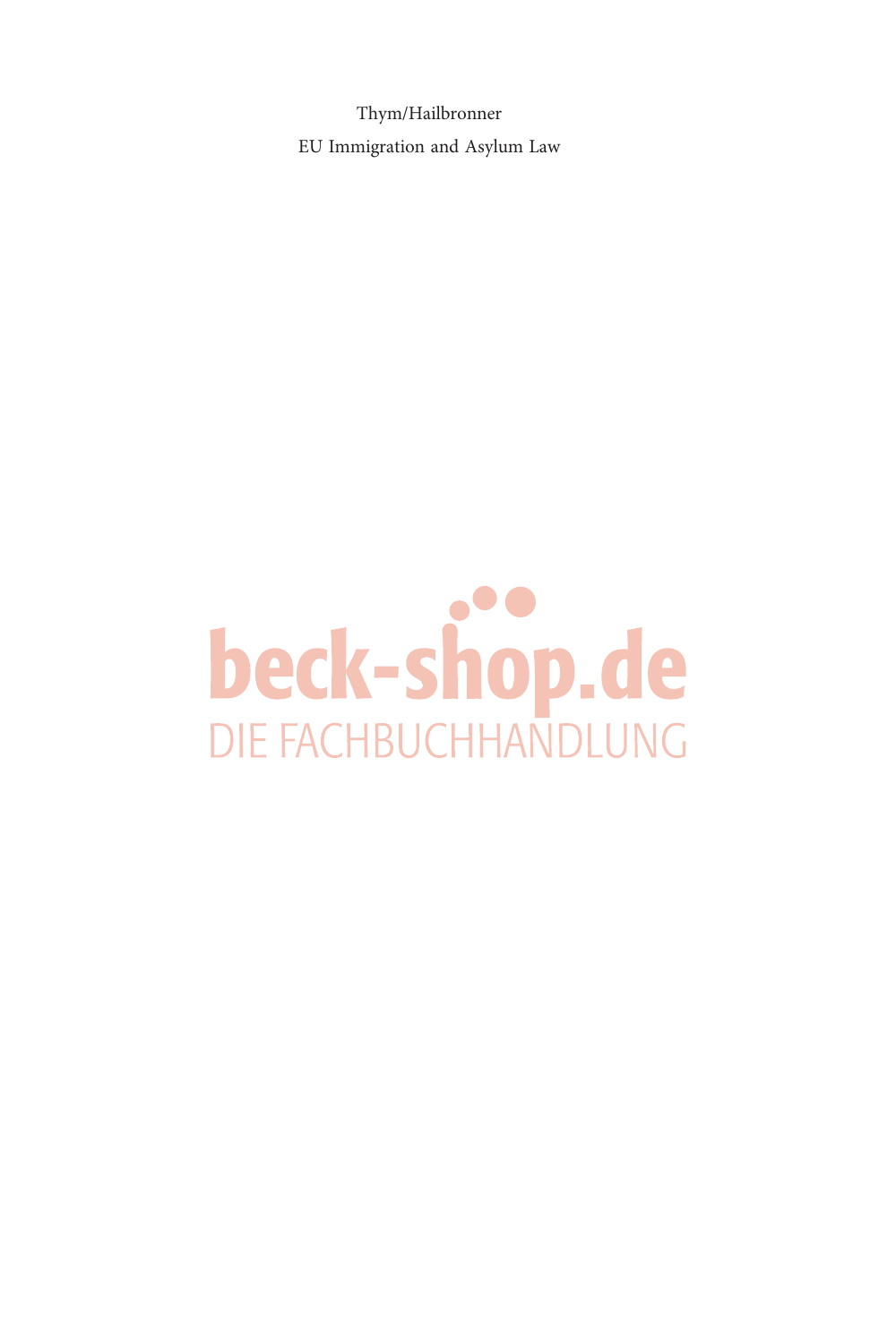Thym/Hailbronner EU Immigration and Asylum Law

# beck-shop.de DIE FACHBUCHHANDLUNG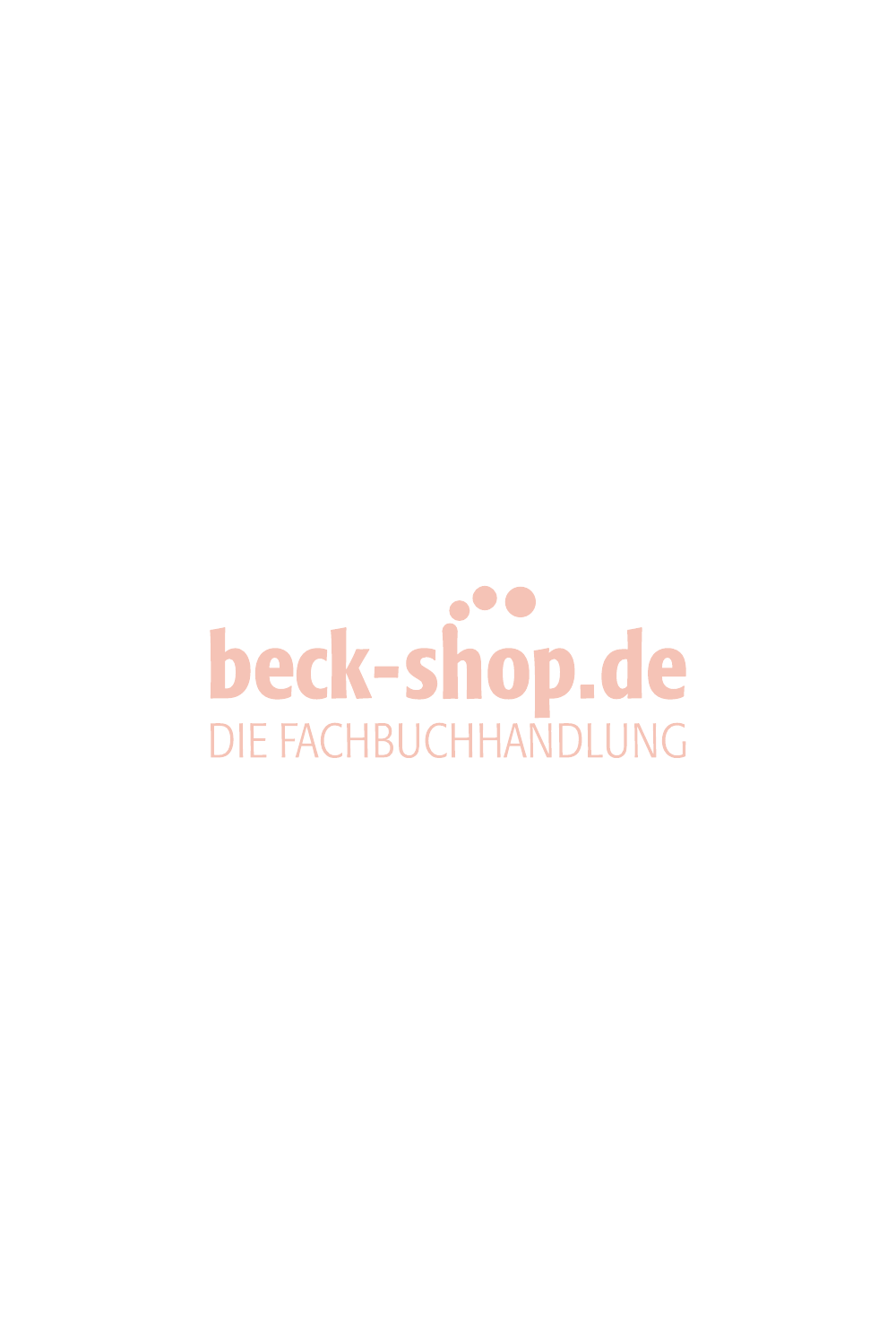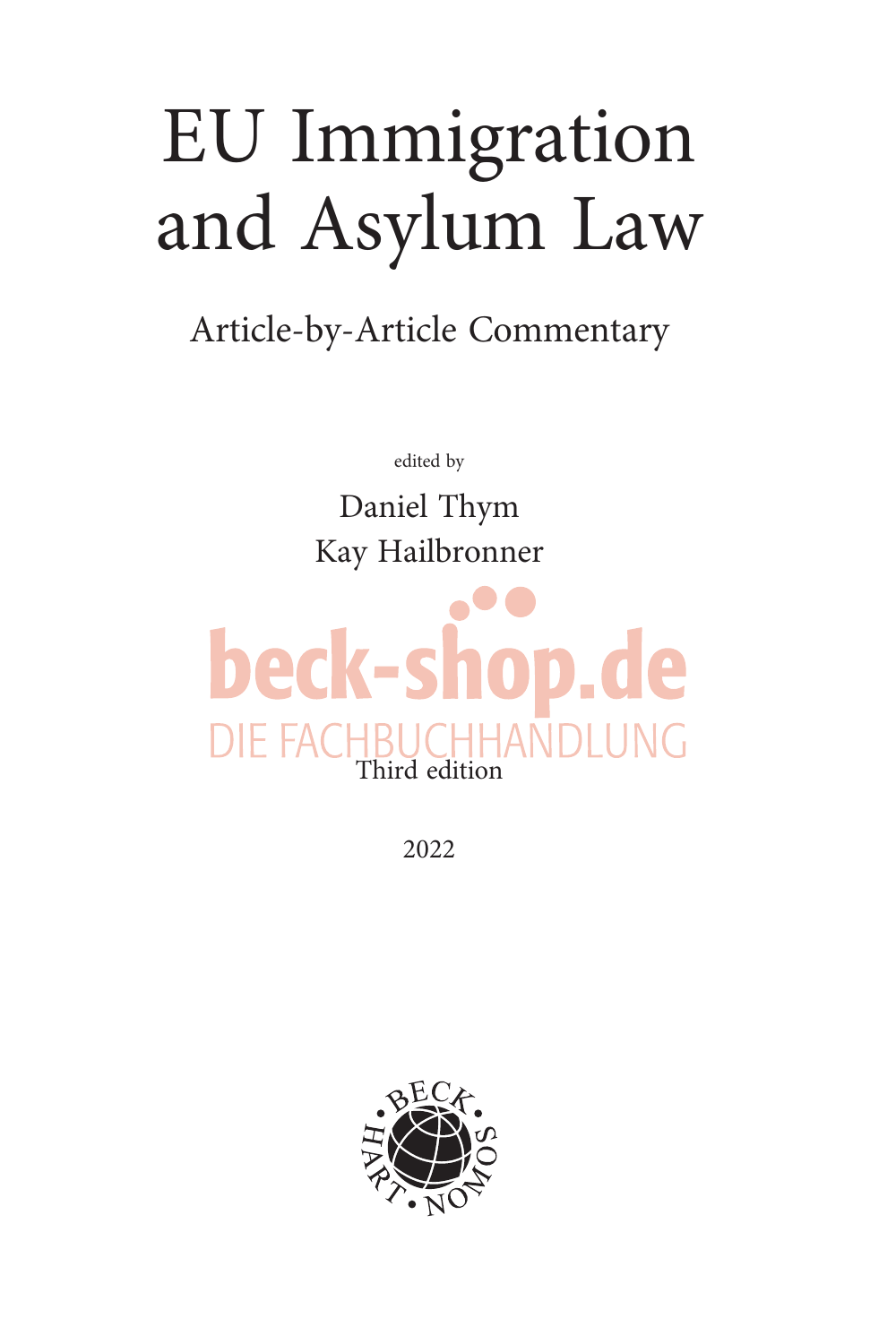## EU Immigration and Asylum Law

## Article-by-Article Commentary

edited by

Daniel Thym Kay Hailbronner



2022

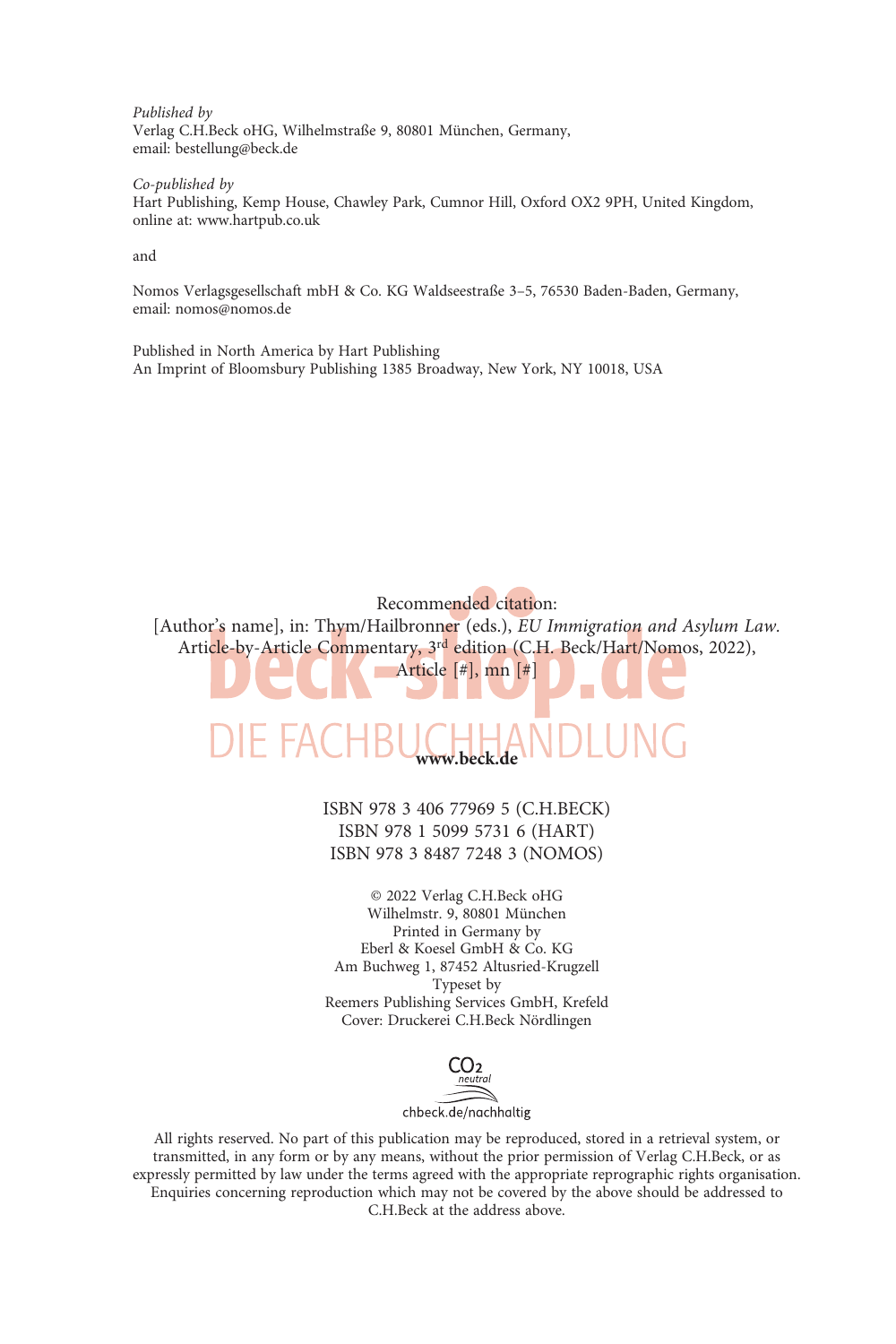Published by Verlag C.H.Beck oHG, Wilhelmstraße 9, 80801 München, Germany, email: bestellung@beck.de

Co-published by Hart Publishing, Kemp House, Chawley Park, Cumnor Hill, Oxford OX2 9PH, United Kingdom, online at: www.hartpub.co.uk

and

Nomos Verlagsgesellschaft mbH & Co. KG Waldseestraße 3–5, 76530 Baden-Baden, Germany, email: nomos@nomos.de

Published in North America by Hart Publishing An Imprint of Bloomsbury Publishing 1385 Broadway, New York, NY 10018, USA

Recommended citation: [Author's name], in: Thym/Hailbronner (eds.), EU Immigration and Asylum Law. Article-by-Article Commentary, 3<sup>rd</sup> edition (C.H. Beck/Hart/Nomos, 2022), Article  $[\#]$ , mn  $[\#]$ 

#### DIF FAC www.beck.de

ISBN 978 3 406 77969 5 (C.H.BECK) ISBN 978 1 5099 5731 6 (HART) ISBN 978 3 8487 7248 3 (NOMOS)

© 2022 Verlag C.H.Beck oHG Wilhelmstr. 9, 80801 München Printed in Germany by Eberl & Koesel GmbH & Co. KG Am Buchweg 1, 87452 Altusried-Krugzell Typeset by Reemers Publishing Services GmbH, Krefeld Cover: Druckerei C.H.Beck Nördlingen

chbeck.de/nachhaltig

All rights reserved. No part of this publication may be reproduced, stored in a retrieval system, or transmitted, in any form or by any means, without the prior permission of Verlag C.H.Beck, or as expressly permitted by law under the terms agreed with the appropriate reprographic rights organisation. Enquiries concerning reproduction which may not be covered by the above should be addressed to C.H.Beck at the address above.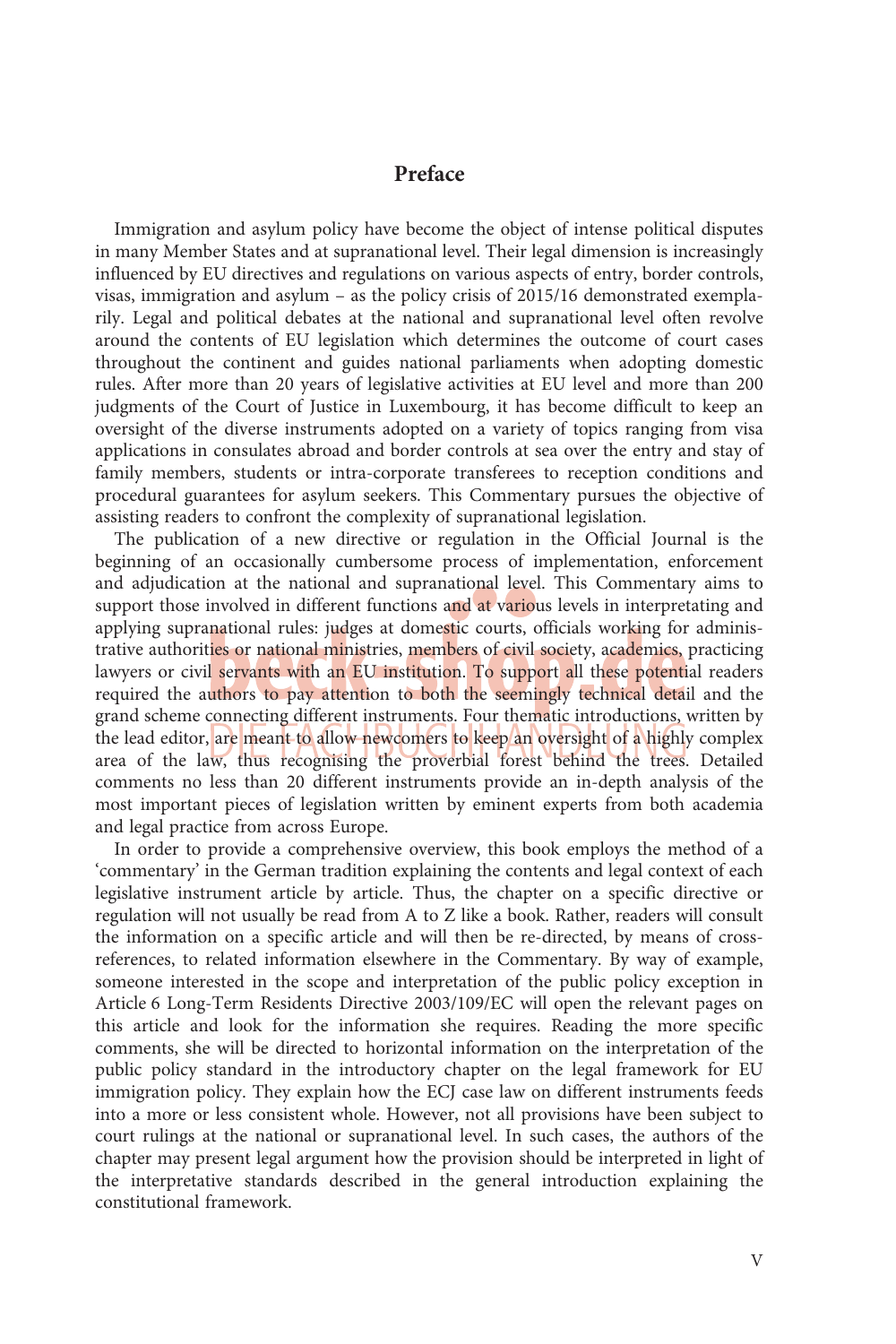#### Preface

Immigration and asylum policy have become the object of intense political disputes in many Member States and at supranational level. Their legal dimension is increasingly influenced by EU directives and regulations on various aspects of entry, border controls, visas, immigration and asylum – as the policy crisis of 2015/16 demonstrated exemplarily. Legal and political debates at the national and supranational level often revolve around the contents of EU legislation which determines the outcome of court cases throughout the continent and guides national parliaments when adopting domestic rules. After more than 20 years of legislative activities at EU level and more than 200 judgments of the Court of Justice in Luxembourg, it has become difficult to keep an oversight of the diverse instruments adopted on a variety of topics ranging from visa applications in consulates abroad and border controls at sea over the entry and stay of family members, students or intra-corporate transferees to reception conditions and procedural guarantees for asylum seekers. This Commentary pursues the objective of assisting readers to confront the complexity of supranational legislation.

The publication of a new directive or regulation in the Official Journal is the beginning of an occasionally cumbersome process of implementation, enforcement and adjudication at the national and supranational level. This Commentary aims to support those involved in different functions and at various levels in interpretating and applying supranational rules: judges at domestic courts, officials working for administrative authorities or national ministries, members of civil society, academics, practicing lawyers or civil servants with an EU institution. To support all these potential readers required the authors to pay attention to both the seemingly technical detail and the grand scheme connecting different instruments. Four thematic introductions, written by the lead editor, are meant to allow newcomers to keep an oversight of a highly complex area of the law, thus recognising the proverbial forest behind the trees. Detailed comments no less than 20 different instruments provide an in-depth analysis of the most important pieces of legislation written by eminent experts from both academia and legal practice from across Europe.

In order to provide a comprehensive overview, this book employs the method of a 'commentary' in the German tradition explaining the contents and legal context of each legislative instrument article by article. Thus, the chapter on a specific directive or regulation will not usually be read from A to Z like a book. Rather, readers will consult the information on a specific article and will then be re-directed, by means of crossreferences, to related information elsewhere in the Commentary. By way of example, someone interested in the scope and interpretation of the public policy exception in Article 6 Long-Term Residents Directive 2003/109/EC will open the relevant pages on this article and look for the information she requires. Reading the more specific comments, she will be directed to horizontal information on the interpretation of the public policy standard in the introductory chapter on the legal framework for EU immigration policy. They explain how the ECJ case law on different instruments feeds into a more or less consistent whole. However, not all provisions have been subject to court rulings at the national or supranational level. In such cases, the authors of the chapter may present legal argument how the provision should be interpreted in light of the interpretative standards described in the general introduction explaining the constitutional framework.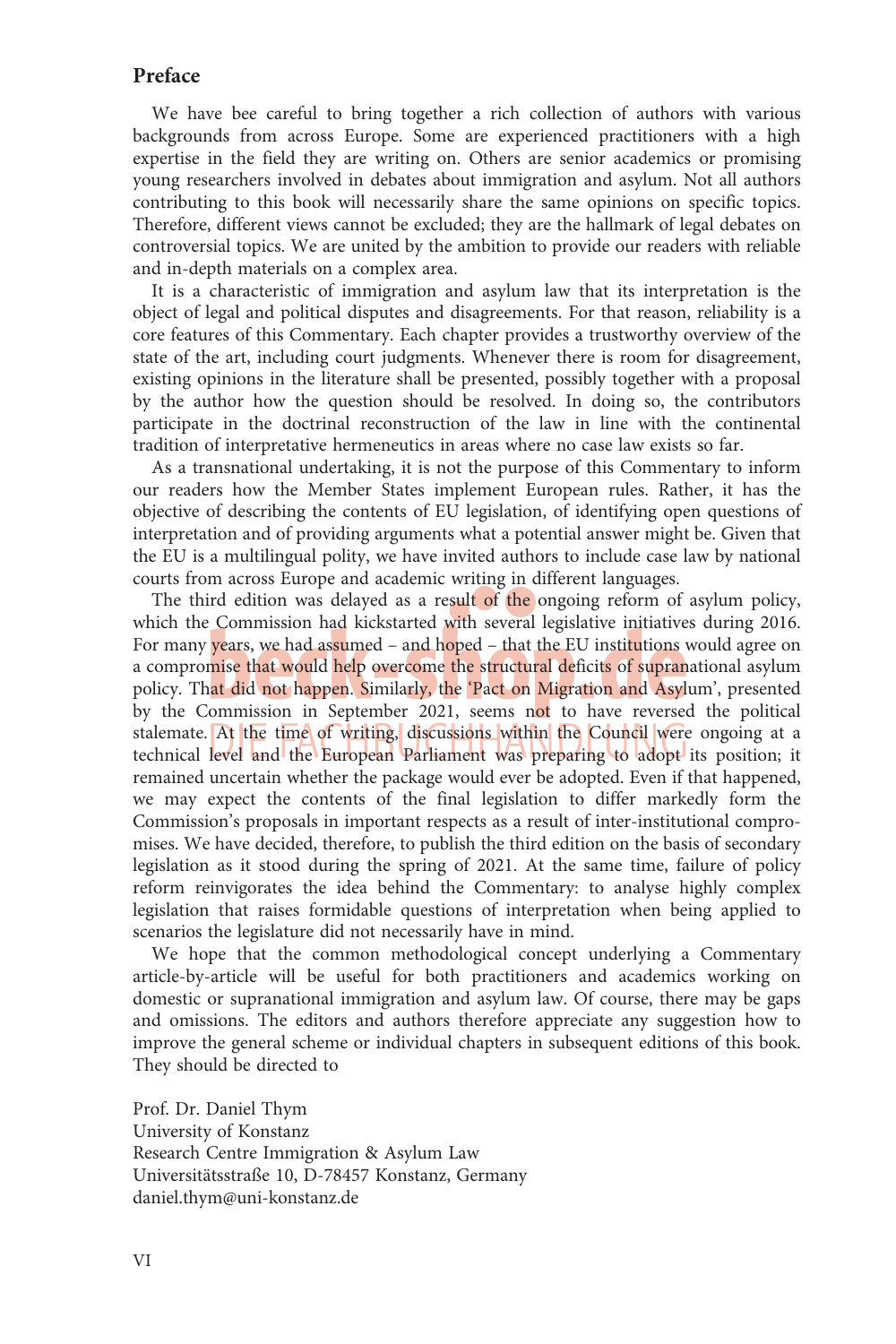#### Preface

We have bee careful to bring together a rich collection of authors with various backgrounds from across Europe. Some are experienced practitioners with a high expertise in the field they are writing on. Others are senior academics or promising young researchers involved in debates about immigration and asylum. Not all authors contributing to this book will necessarily share the same opinions on specific topics. Therefore, different views cannot be excluded; they are the hallmark of legal debates on controversial topics. We are united by the ambition to provide our readers with reliable and in-depth materials on a complex area.

It is a characteristic of immigration and asylum law that its interpretation is the object of legal and political disputes and disagreements. For that reason, reliability is a core features of this Commentary. Each chapter provides a trustworthy overview of the state of the art, including court judgments. Whenever there is room for disagreement, existing opinions in the literature shall be presented, possibly together with a proposal by the author how the question should be resolved. In doing so, the contributors participate in the doctrinal reconstruction of the law in line with the continental tradition of interpretative hermeneutics in areas where no case law exists so far.

As a transnational undertaking, it is not the purpose of this Commentary to inform our readers how the Member States implement European rules. Rather, it has the objective of describing the contents of EU legislation, of identifying open questions of interpretation and of providing arguments what a potential answer might be. Given that the EU is a multilingual polity, we have invited authors to include case law by national courts from across Europe and academic writing in different languages.

The third edition was delayed as a result of the ongoing reform of asylum policy, which the Commission had kickstarted with several legislative initiatives during 2016. For many years, we had assumed – and hoped – that the EU institutions would agree on a compromise that would help overcome the structural deficits of supranational asylum policy. That did not happen. Similarly, the 'Pact on Migration and Asylum', presented by the Commission in September 2021, seems not to have reversed the political stalemate. At the time of writing, discussions within the Council were ongoing at a technical level and the European Parliament was preparing to adopt its position; it remained uncertain whether the package would ever be adopted. Even if that happened, we may expect the contents of the final legislation to differ markedly form the Commission's proposals in important respects as a result of inter-institutional compromises. We have decided, therefore, to publish the third edition on the basis of secondary legislation as it stood during the spring of 2021. At the same time, failure of policy reform reinvigorates the idea behind the Commentary: to analyse highly complex legislation that raises formidable questions of interpretation when being applied to scenarios the legislature did not necessarily have in mind.

We hope that the common methodological concept underlying a Commentary article-by-article will be useful for both practitioners and academics working on domestic or supranational immigration and asylum law. Of course, there may be gaps and omissions. The editors and authors therefore appreciate any suggestion how to improve the general scheme or individual chapters in subsequent editions of this book. They should be directed to

Prof. Dr. Daniel Thym University of Konstanz Research Centre Immigration & Asylum Law Universitätsstraße 10, D-78457 Konstanz, Germany daniel.thym@uni-konstanz.de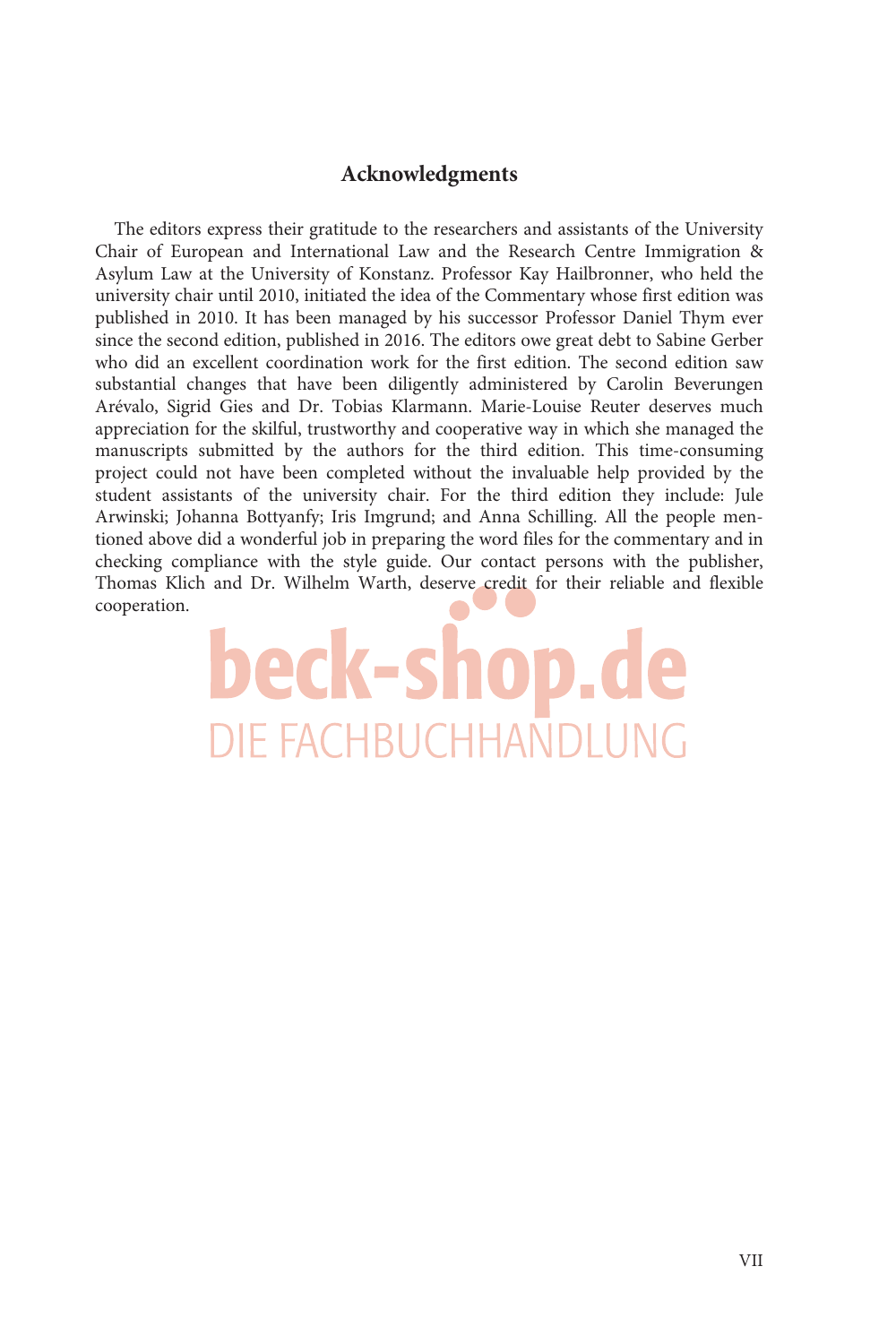#### Acknowledgments

The editors express their gratitude to the researchers and assistants of the University Chair of European and International Law and the Research Centre Immigration & Asylum Law at the University of Konstanz. Professor Kay Hailbronner, who held the university chair until 2010, initiated the idea of the Commentary whose first edition was published in 2010. It has been managed by his successor Professor Daniel Thym ever since the second edition, published in 2016. The editors owe great debt to Sabine Gerber who did an excellent coordination work for the first edition. The second edition saw substantial changes that have been diligently administered by Carolin Beverungen Arévalo, Sigrid Gies and Dr. Tobias Klarmann. Marie-Louise Reuter deserves much appreciation for the skilful, trustworthy and cooperative way in which she managed the manuscripts submitted by the authors for the third edition. This time-consuming project could not have been completed without the invaluable help provided by the student assistants of the university chair. For the third edition they include: Jule Arwinski; Johanna Bottyanfy; Iris Imgrund; and Anna Schilling. All the people mentioned above did a wonderful job in preparing the word files for the commentary and in checking compliance with the style guide. Our contact persons with the publisher, Thomas Klich and Dr. Wilhelm Warth, deserve credit for their reliable and flexible cooperation.

> beck-shop.de DIE FACHBUCHHANDLUNG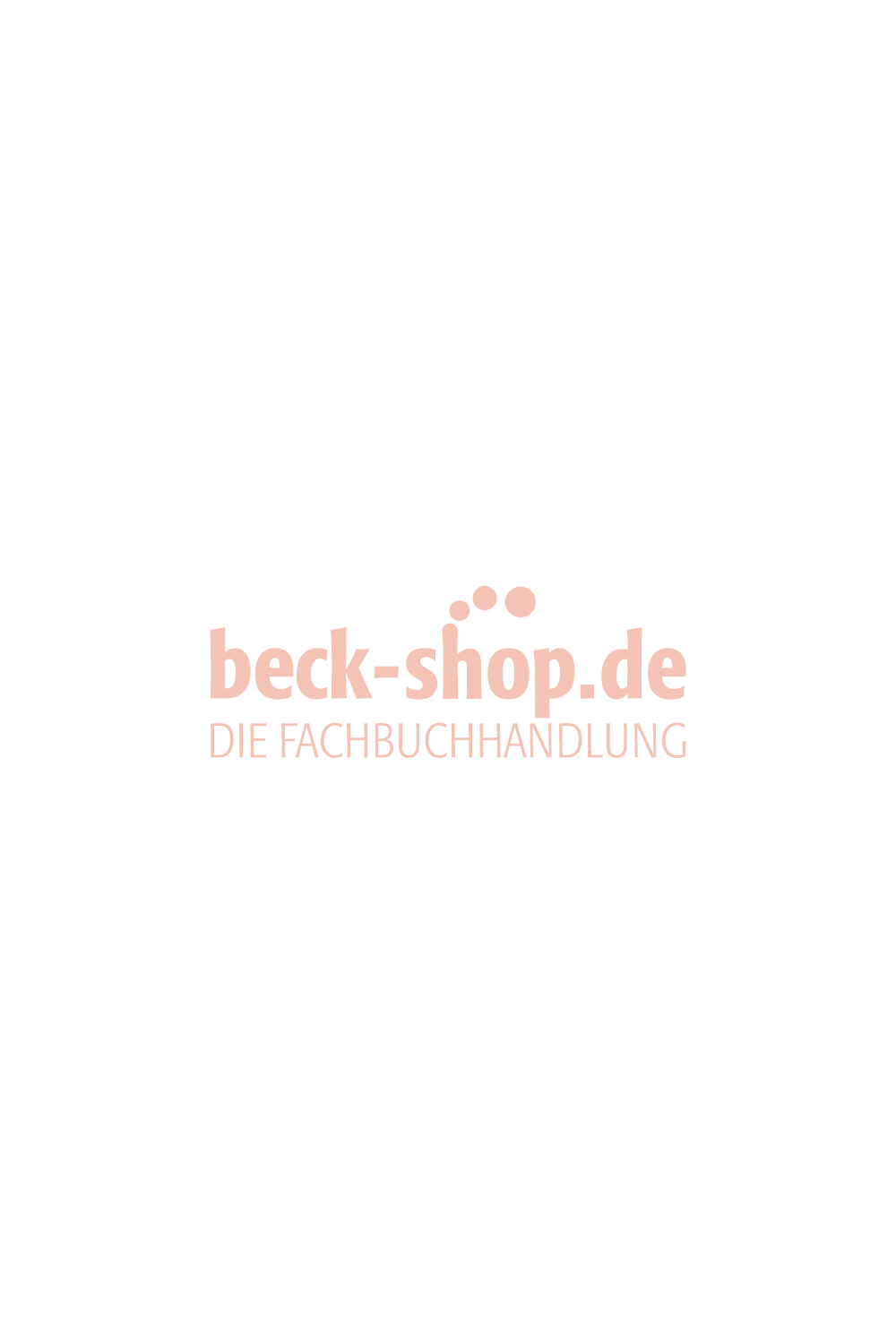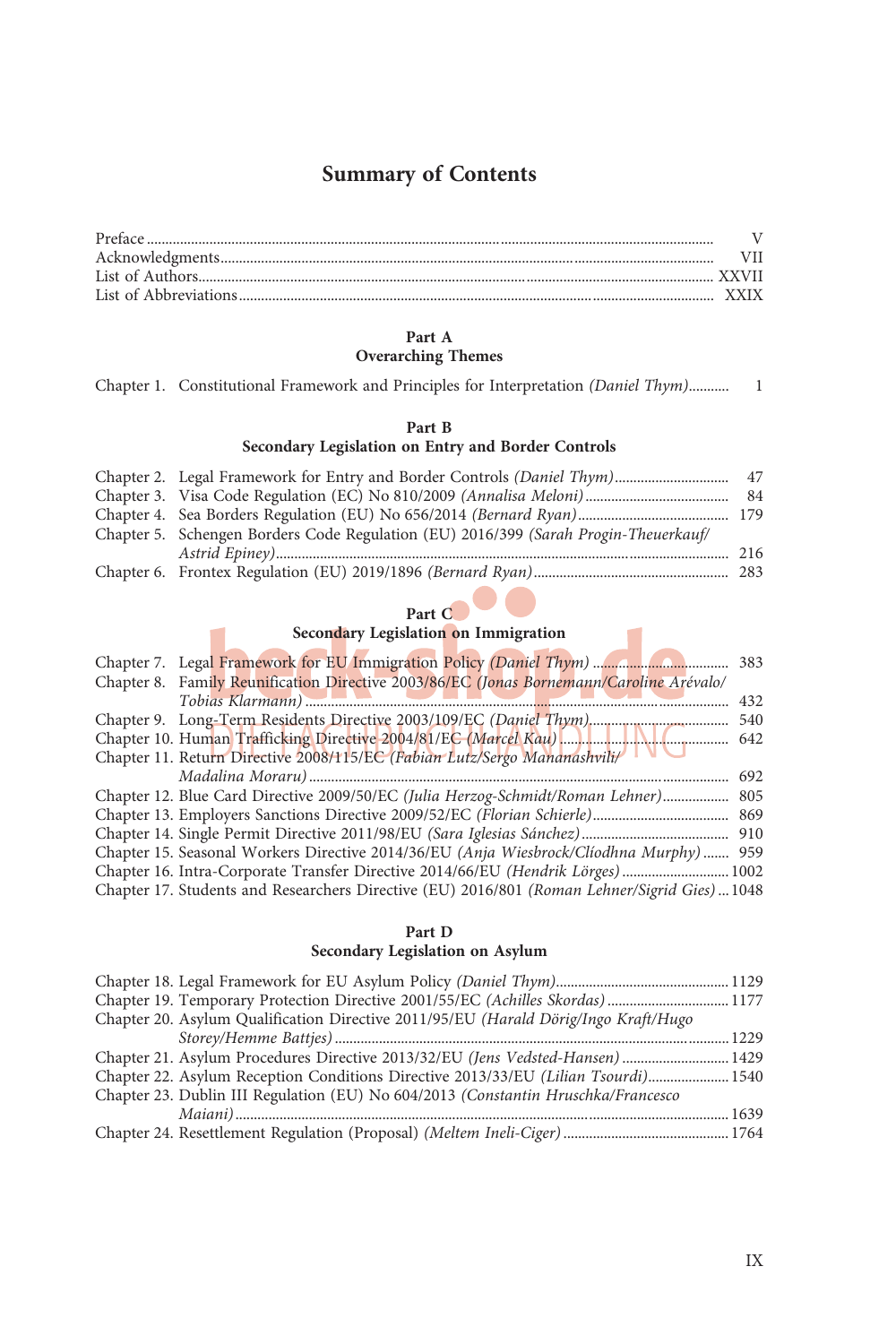#### Summary of Contents

#### Part A Overarching Themes

|  |  |  |  |  | Chapter 1. Constitutional Framework and Principles for Interpretation (Daniel Thym) |  |
|--|--|--|--|--|-------------------------------------------------------------------------------------|--|
|--|--|--|--|--|-------------------------------------------------------------------------------------|--|

#### Part B Secondary Legislation on Entry and Border Controls

|                                                                                     | 84  |
|-------------------------------------------------------------------------------------|-----|
|                                                                                     |     |
| Chapter 5. Schengen Borders Code Regulation (EU) 2016/399 (Sarah Progin-Theuerkauf/ |     |
|                                                                                     | 216 |
|                                                                                     |     |

#### Part C

 $\blacksquare$ 

Secondary Legislation on Immigration

 $\mathcal{L}$ 

|                                                                                               | 383 |
|-----------------------------------------------------------------------------------------------|-----|
| Chapter 8. Family Reunification Directive 2003/86/EC (Jonas Bornemann/Caroline Arévalo/       |     |
|                                                                                               | 432 |
|                                                                                               | 540 |
|                                                                                               | 642 |
| Chapter 11. Return Directive 2008/115/EC (Fabian Lutz/Sergo Mananashvili/                     |     |
|                                                                                               | 692 |
| Chapter 12. Blue Card Directive 2009/50/EC (Julia Herzog-Schmidt/Roman Lehner)                | 805 |
|                                                                                               | 869 |
|                                                                                               | 910 |
| Chapter 15. Seasonal Workers Directive 2014/36/EU (Anja Wiesbrock/Cliodhna Murphy)            | 959 |
| Chapter 16. Intra-Corporate Transfer Directive 2014/66/EU (Hendrik Lörges) 1002               |     |
| Chapter 17. Students and Researchers Directive (EU) 2016/801 (Roman Lehner/Sigrid Gies)  1048 |     |
|                                                                                               |     |

#### Part D

#### Secondary Legislation on Asylum

| Chapter 19. Temporary Protection Directive 2001/55/EC (Achilles Skordas)  1177      |  |
|-------------------------------------------------------------------------------------|--|
| Chapter 20. Asylum Qualification Directive 2011/95/EU (Harald Dörig/Ingo Kraft/Hugo |  |
|                                                                                     |  |
| Chapter 21. Asylum Procedures Directive 2013/32/EU (Jens Vedsted-Hansen)  1429      |  |
| Chapter 22. Asylum Reception Conditions Directive 2013/33/EU (Lilian Tsourdi) 1540  |  |
| Chapter 23. Dublin III Regulation (EU) No 604/2013 (Constantin Hruschka/Francesco   |  |
|                                                                                     |  |
|                                                                                     |  |
|                                                                                     |  |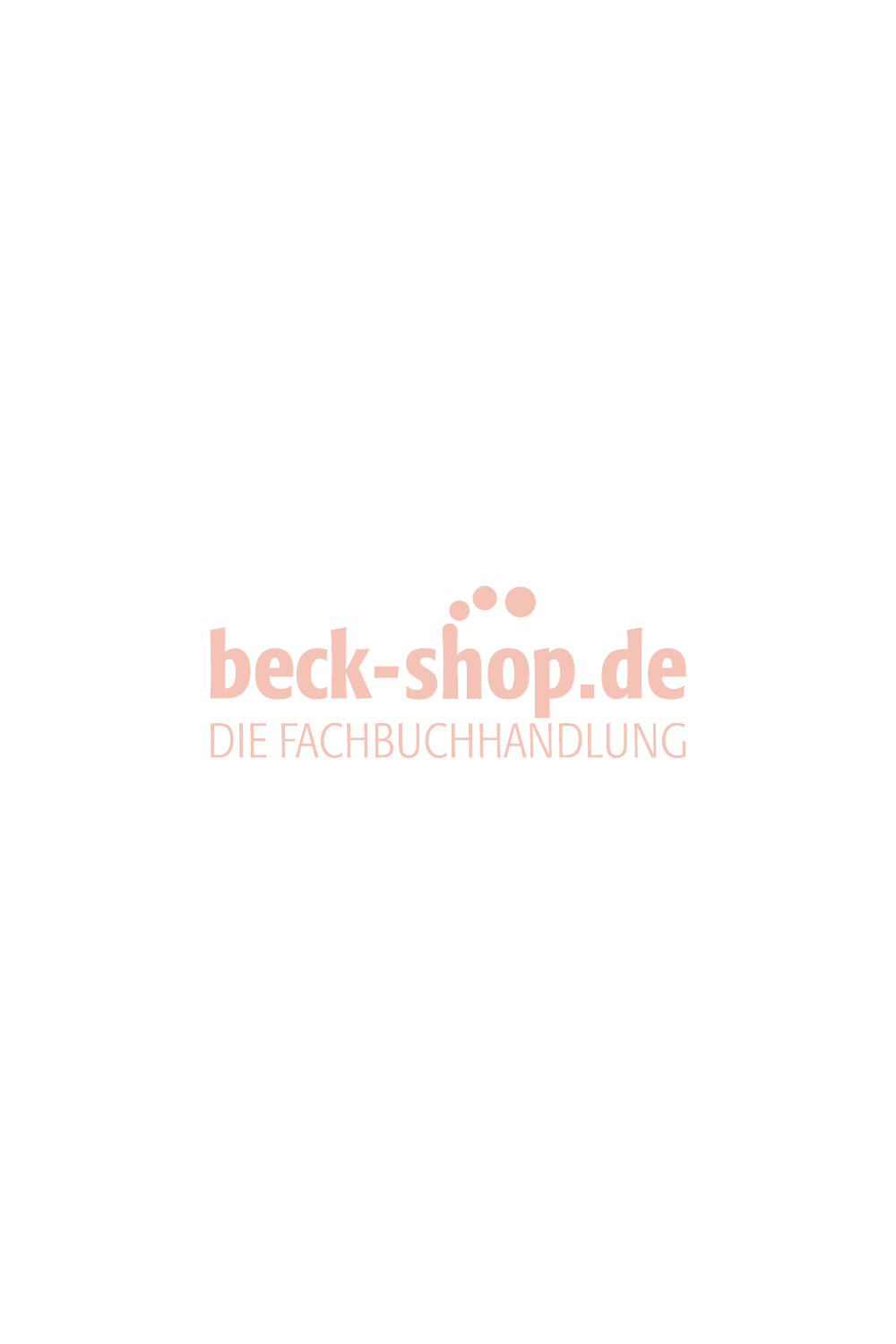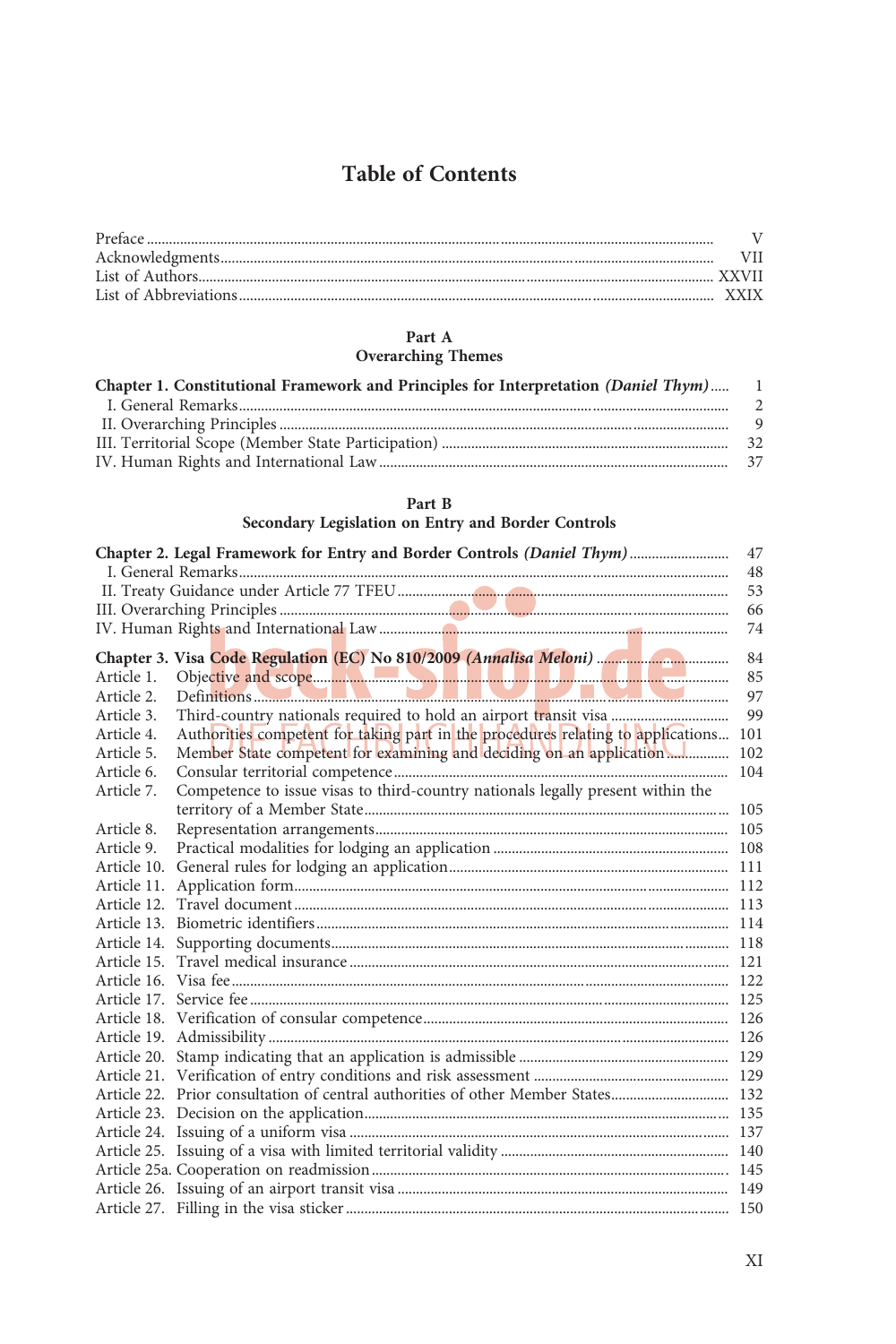#### Part A Overarching Themes

| Chapter 1. Constitutional Framework and Principles for Interpretation (Daniel Thym) 1 |                |
|---------------------------------------------------------------------------------------|----------------|
|                                                                                       | $\overline{2}$ |
|                                                                                       | - 9            |
|                                                                                       | - 32.          |
|                                                                                       |                |

#### Part B

#### Secondary Legislation on Entry and Border Controls

|            | Chapter 2. Legal Framework for Entry and Border Controls (Daniel Thym)           | 47  |
|------------|----------------------------------------------------------------------------------|-----|
|            |                                                                                  | 48  |
|            |                                                                                  | 53  |
|            |                                                                                  | 66  |
|            |                                                                                  | 74  |
|            |                                                                                  | 84  |
| Article 1. |                                                                                  | 85  |
| Article 2. |                                                                                  | 97  |
| Article 3. | Third-country nationals required to hold an airport transit visa                 | 99  |
| Article 4. | Authorities competent for taking part in the procedures relating to applications | 101 |
| Article 5. |                                                                                  | 102 |
| Article 6. |                                                                                  | 104 |
| Article 7. | Competence to issue visas to third-country nationals legally present within the  |     |
|            |                                                                                  | 105 |
| Article 8. |                                                                                  |     |
| Article 9. |                                                                                  |     |
|            |                                                                                  |     |
|            |                                                                                  |     |
|            |                                                                                  |     |
|            |                                                                                  |     |
|            |                                                                                  |     |
|            |                                                                                  |     |
|            |                                                                                  |     |
|            |                                                                                  |     |
|            |                                                                                  |     |
|            |                                                                                  |     |
|            |                                                                                  |     |
|            |                                                                                  |     |
|            |                                                                                  |     |
|            |                                                                                  |     |
|            |                                                                                  |     |
|            |                                                                                  |     |
|            |                                                                                  |     |
|            |                                                                                  |     |
|            |                                                                                  |     |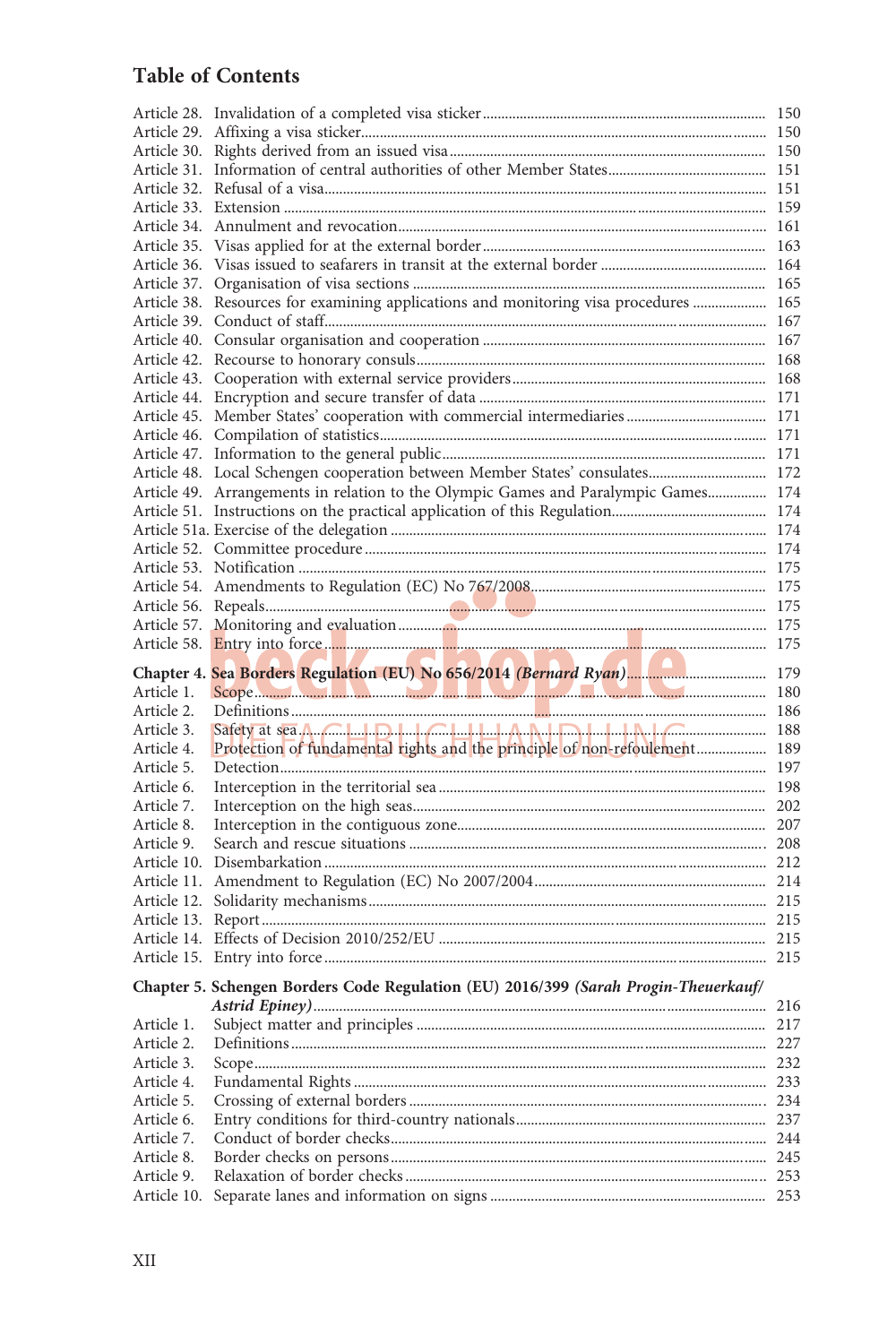|            | Article 38. Resources for examining applications and monitoring visa procedures  165 |     |
|------------|--------------------------------------------------------------------------------------|-----|
|            |                                                                                      |     |
|            |                                                                                      |     |
|            |                                                                                      |     |
|            |                                                                                      |     |
|            |                                                                                      |     |
|            |                                                                                      |     |
|            |                                                                                      |     |
|            |                                                                                      |     |
|            |                                                                                      |     |
|            | Article 49. Arrangements in relation to the Olympic Games and Paralympic Games 174   |     |
|            |                                                                                      |     |
|            |                                                                                      |     |
|            |                                                                                      |     |
|            |                                                                                      |     |
|            |                                                                                      |     |
|            |                                                                                      |     |
|            |                                                                                      |     |
|            |                                                                                      |     |
|            |                                                                                      |     |
|            |                                                                                      |     |
| Article 1. |                                                                                      |     |
| Article 2. |                                                                                      |     |
| Article 3. |                                                                                      |     |
| Article 4. | Protection of fundamental rights and the principle of non-refoulement 189            |     |
| Article 5. |                                                                                      |     |
| Article 6. |                                                                                      |     |
| Article 7. |                                                                                      |     |
| Article 8. |                                                                                      |     |
| Article 9. |                                                                                      |     |
|            |                                                                                      |     |
|            |                                                                                      |     |
|            |                                                                                      |     |
|            |                                                                                      |     |
|            |                                                                                      |     |
|            |                                                                                      |     |
|            |                                                                                      |     |
|            | Chapter 5. Schengen Borders Code Regulation (EU) 2016/399 (Sarah Progin-Theuerkauf/  |     |
| Article 1. |                                                                                      | 217 |
| Article 2. |                                                                                      |     |
| Article 3. |                                                                                      |     |
| Article 4. |                                                                                      | 233 |
| Article 5. |                                                                                      |     |
| Article 6. |                                                                                      |     |
| Article 7. |                                                                                      |     |
| Article 8. |                                                                                      |     |
| Article 9. |                                                                                      | 253 |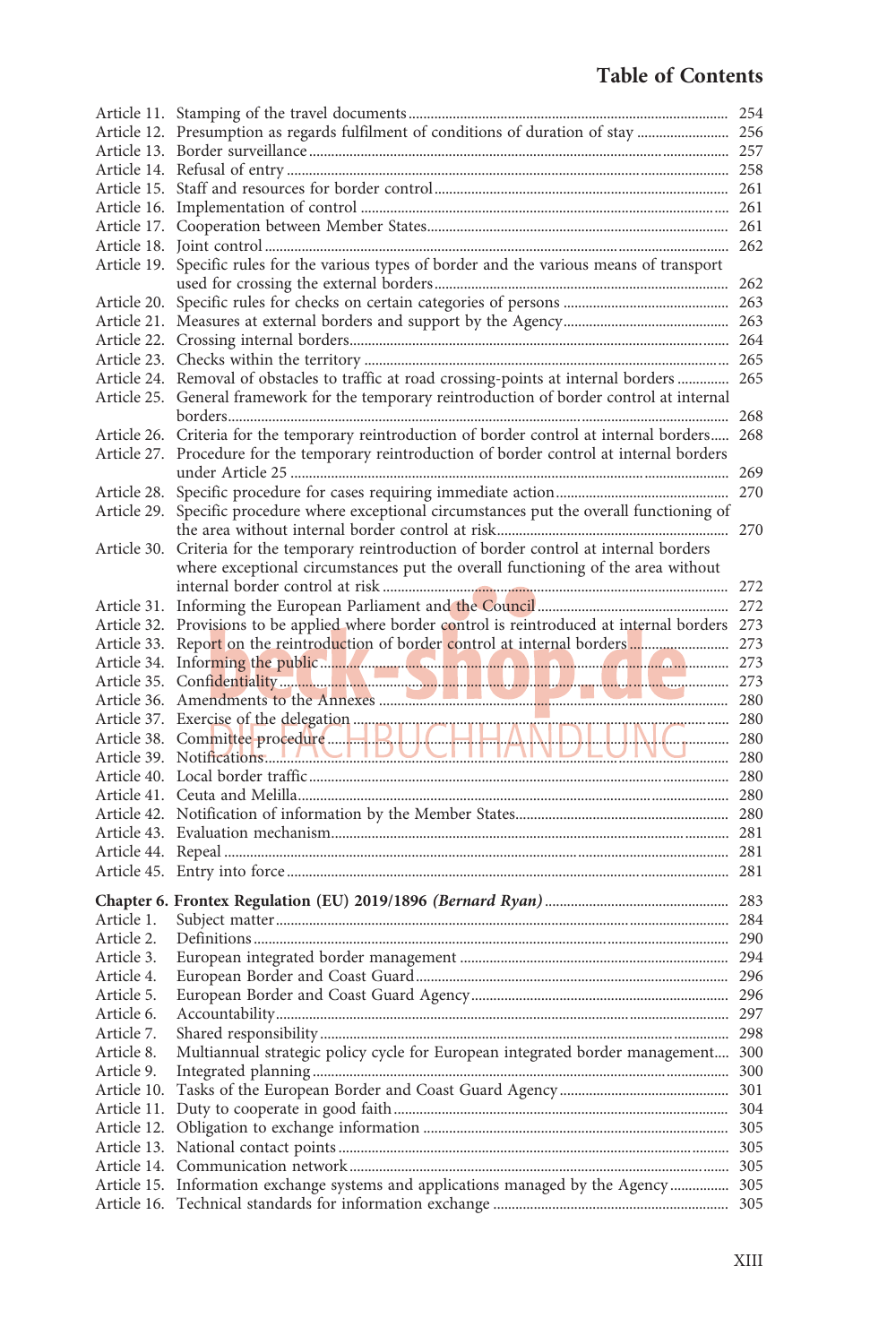|             | Article 12. Presumption as regards fulfilment of conditions of duration of stay  256              |     |
|-------------|---------------------------------------------------------------------------------------------------|-----|
|             |                                                                                                   |     |
|             |                                                                                                   |     |
|             |                                                                                                   |     |
|             |                                                                                                   |     |
|             |                                                                                                   |     |
|             |                                                                                                   |     |
|             | Article 19. Specific rules for the various types of border and the various means of transport     |     |
|             |                                                                                                   |     |
|             |                                                                                                   |     |
|             |                                                                                                   |     |
|             |                                                                                                   |     |
|             |                                                                                                   |     |
|             | Article 24. Removal of obstacles to traffic at road crossing-points at internal borders           | 265 |
|             | Article 25. General framework for the temporary reintroduction of border control at internal      | 268 |
|             | Article 26. Criteria for the temporary reintroduction of border control at internal borders       | 268 |
|             | Article 27. Procedure for the temporary reintroduction of border control at internal borders      |     |
|             |                                                                                                   | 269 |
|             |                                                                                                   |     |
|             | Article 29. Specific procedure where exceptional circumstances put the overall functioning of     |     |
|             |                                                                                                   |     |
|             | Article 30. Criteria for the temporary reintroduction of border control at internal borders       |     |
|             | where exceptional circumstances put the overall functioning of the area without                   |     |
|             |                                                                                                   | 272 |
|             |                                                                                                   |     |
|             | Article 32. Provisions to be applied where border control is reintroduced at internal borders 273 |     |
|             |                                                                                                   |     |
|             |                                                                                                   |     |
|             |                                                                                                   |     |
|             |                                                                                                   |     |
|             |                                                                                                   |     |
|             |                                                                                                   |     |
|             |                                                                                                   |     |
|             |                                                                                                   |     |
|             |                                                                                                   |     |
|             |                                                                                                   |     |
|             |                                                                                                   |     |
|             |                                                                                                   |     |
|             |                                                                                                   |     |
|             |                                                                                                   |     |
| Article 1.  |                                                                                                   |     |
| Article 2.  |                                                                                                   |     |
| Article 3.  |                                                                                                   |     |
| Article 4.  |                                                                                                   |     |
| Article 5.  |                                                                                                   | 296 |
| Article 6.  |                                                                                                   | 297 |
| Article 7.  |                                                                                                   | 298 |
| Article 8.  | Multiannual strategic policy cycle for European integrated border management 300                  |     |
| Article 9.  |                                                                                                   | 300 |
| Article 10. |                                                                                                   | 301 |
| Article 11. |                                                                                                   | 304 |
| Article 12. |                                                                                                   | 305 |
|             |                                                                                                   | 305 |
|             |                                                                                                   | 305 |
|             | Article 15. Information exchange systems and applications managed by the Agency  305              |     |
|             |                                                                                                   | 305 |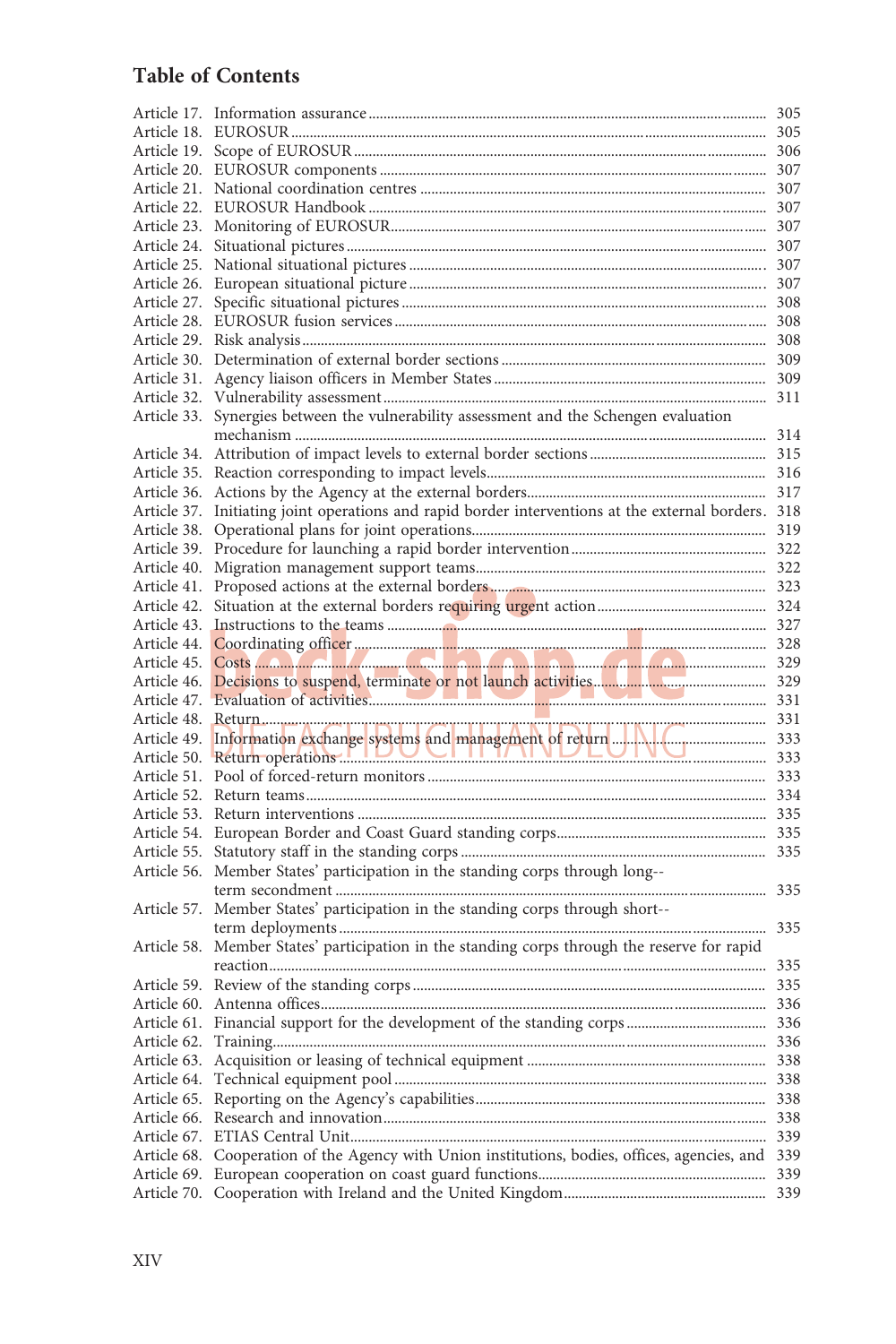|                                                                                                     | 305 |
|-----------------------------------------------------------------------------------------------------|-----|
|                                                                                                     | 305 |
|                                                                                                     |     |
|                                                                                                     |     |
|                                                                                                     |     |
|                                                                                                     |     |
|                                                                                                     |     |
|                                                                                                     |     |
|                                                                                                     |     |
|                                                                                                     |     |
|                                                                                                     |     |
|                                                                                                     |     |
|                                                                                                     |     |
|                                                                                                     |     |
|                                                                                                     |     |
|                                                                                                     |     |
| Article 33. Synergies between the vulnerability assessment and the Schengen evaluation              |     |
|                                                                                                     |     |
|                                                                                                     |     |
|                                                                                                     |     |
| Article 37. Initiating joint operations and rapid border interventions at the external borders. 318 |     |
|                                                                                                     |     |
|                                                                                                     |     |
|                                                                                                     |     |
|                                                                                                     |     |
|                                                                                                     |     |
|                                                                                                     |     |
|                                                                                                     |     |
|                                                                                                     |     |
|                                                                                                     |     |
|                                                                                                     |     |
|                                                                                                     |     |
|                                                                                                     |     |
|                                                                                                     |     |
|                                                                                                     |     |
|                                                                                                     |     |
|                                                                                                     |     |
|                                                                                                     |     |
|                                                                                                     |     |
| Article 56. Member States' participation in the standing corps through long--                       |     |
|                                                                                                     |     |
| Article 57. Member States' participation in the standing corps through short--                      |     |
|                                                                                                     | 335 |
| Article 58. Member States' participation in the standing corps through the reserve for rapid        |     |
|                                                                                                     |     |
|                                                                                                     | 335 |
|                                                                                                     |     |
|                                                                                                     |     |
|                                                                                                     |     |
|                                                                                                     |     |
|                                                                                                     |     |
|                                                                                                     | 338 |
|                                                                                                     |     |
|                                                                                                     |     |
| Article 68. Cooperation of the Agency with Union institutions, bodies, offices, agencies, and 339   |     |
|                                                                                                     |     |
|                                                                                                     |     |
|                                                                                                     |     |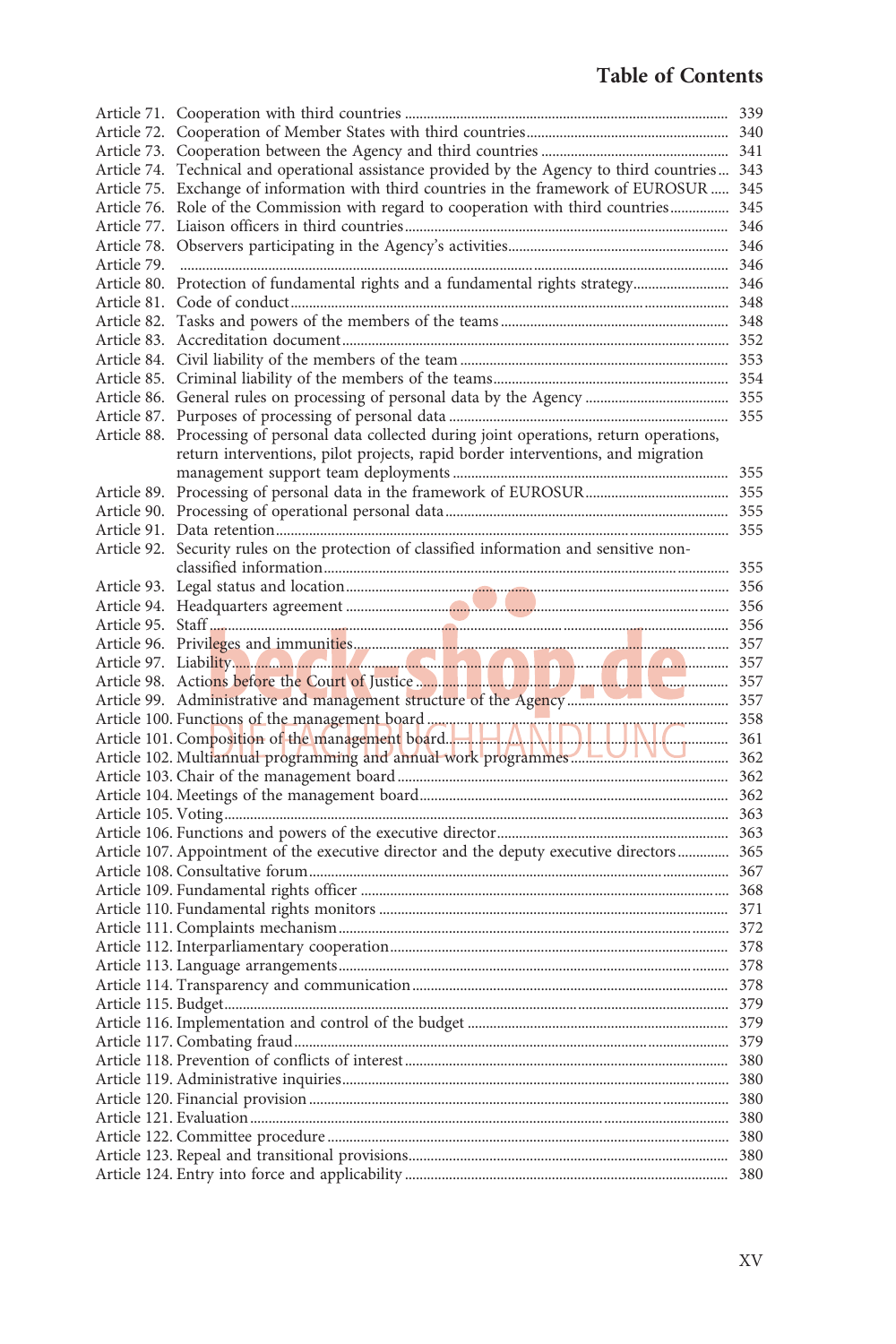| Article 74. Technical and operational assistance provided by the Agency to third countries  343 |            |
|-------------------------------------------------------------------------------------------------|------------|
| Article 75. Exchange of information with third countries in the framework of EUROSUR  345       |            |
| Article 76. Role of the Commission with regard to cooperation with third countries 345          |            |
|                                                                                                 |            |
|                                                                                                 |            |
|                                                                                                 |            |
| Article 80. Protection of fundamental rights and a fundamental rights strategy 346              |            |
|                                                                                                 |            |
|                                                                                                 |            |
|                                                                                                 |            |
|                                                                                                 |            |
|                                                                                                 |            |
|                                                                                                 |            |
|                                                                                                 |            |
| Article 88. Processing of personal data collected during joint operations, return operations,   |            |
| return interventions, pilot projects, rapid border interventions, and migration                 |            |
|                                                                                                 |            |
|                                                                                                 |            |
|                                                                                                 |            |
|                                                                                                 |            |
| Article 92. Security rules on the protection of classified information and sensitive non-       |            |
|                                                                                                 |            |
|                                                                                                 |            |
|                                                                                                 |            |
|                                                                                                 |            |
|                                                                                                 |            |
|                                                                                                 |            |
|                                                                                                 |            |
|                                                                                                 |            |
|                                                                                                 |            |
| Article 100. Functions of the management board                                                  |            |
|                                                                                                 |            |
|                                                                                                 |            |
|                                                                                                 |            |
|                                                                                                 |            |
|                                                                                                 |            |
| Article 107. Appointment of the executive director and the deputy executive directors 365       |            |
|                                                                                                 |            |
|                                                                                                 |            |
|                                                                                                 |            |
|                                                                                                 |            |
|                                                                                                 |            |
|                                                                                                 |            |
| 378                                                                                             |            |
|                                                                                                 |            |
|                                                                                                 | 379<br>379 |
|                                                                                                 |            |
|                                                                                                 | 379        |
|                                                                                                 | 380        |
|                                                                                                 | 380        |
|                                                                                                 | 380        |
|                                                                                                 | 380        |
|                                                                                                 | 380        |
|                                                                                                 | 380        |
|                                                                                                 | 380        |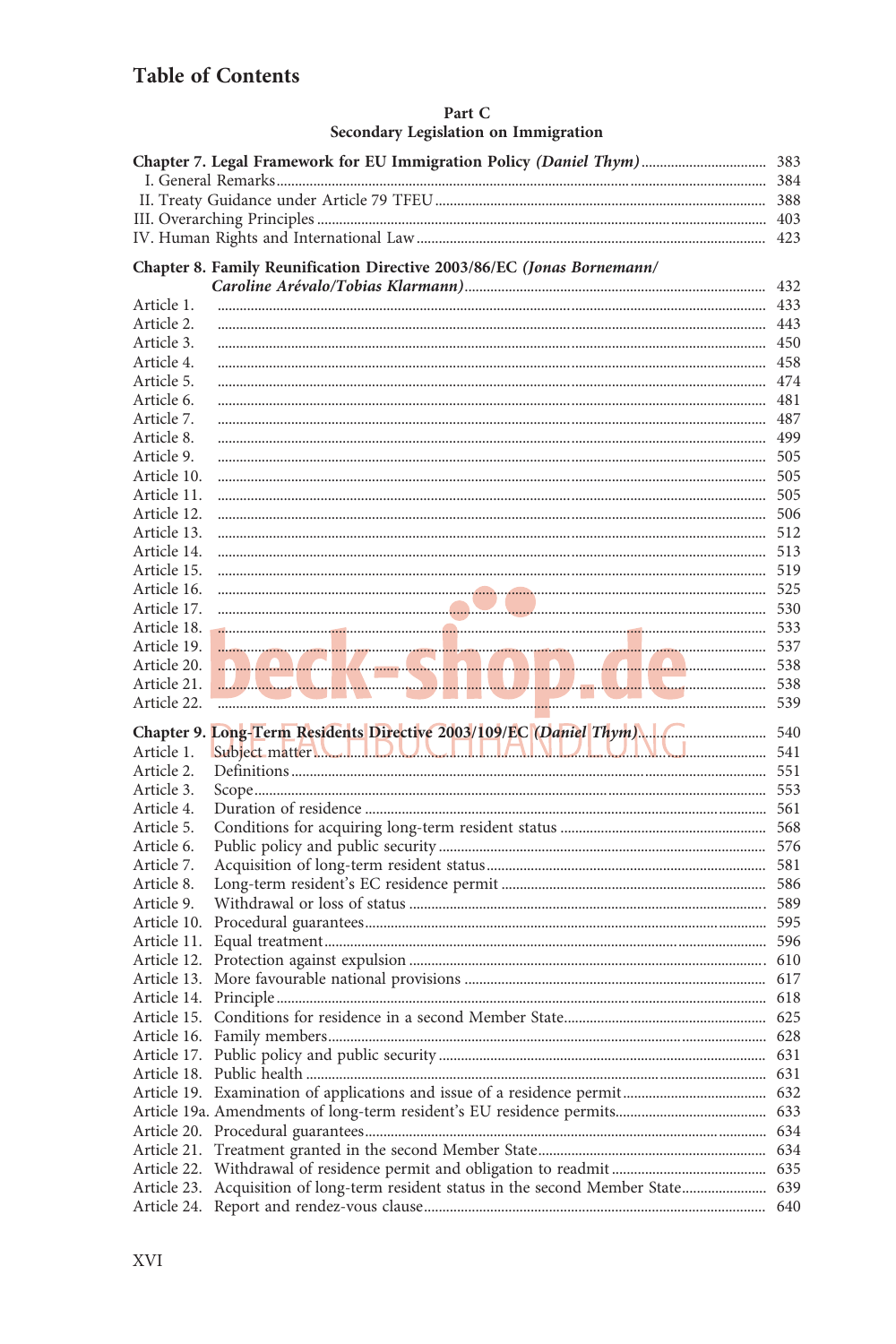Part C Secondary Legislation on Immigration

|                            |                                                                                                                      | 388        |
|----------------------------|----------------------------------------------------------------------------------------------------------------------|------------|
|                            |                                                                                                                      | 403        |
|                            |                                                                                                                      | 423        |
|                            |                                                                                                                      |            |
|                            | Chapter 8. Family Reunification Directive 2003/86/EC (Jonas Bornemann/                                               |            |
|                            |                                                                                                                      | 432        |
| Article 1.                 |                                                                                                                      | 433        |
| Article 2.                 |                                                                                                                      |            |
| Article 3.                 |                                                                                                                      |            |
| Article 4.                 |                                                                                                                      |            |
| Article 5.                 |                                                                                                                      | 474        |
| Article 6.                 |                                                                                                                      |            |
| Article 7.                 |                                                                                                                      | 487        |
| Article 8.                 |                                                                                                                      | 499<br>505 |
| Article 9.                 |                                                                                                                      | 505        |
| Article 10.<br>Article 11. |                                                                                                                      | 505        |
| Article 12.                |                                                                                                                      | 506        |
| Article 13.                |                                                                                                                      | 512        |
| Article 14.                |                                                                                                                      |            |
| Article 15.                |                                                                                                                      |            |
| Article 16.                |                                                                                                                      |            |
| Article 17.                |                                                                                                                      |            |
| Article 18.                |                                                                                                                      |            |
| Article 19.                |                                                                                                                      |            |
| Article 20.                | <u>. A. M. A. M. A. M. A. Maria 1999, A. M. A. M. A. M. A. Maria 1999, A. M. A. M. A. M. A. M. A. M. A. M. A. M.</u> | 538        |
| Article 21.                | <u> 1950 - An San Andrews, Amerikaansk kommunist fan it ferstjer fan de ferstjer fan de ferstjer fan de ferstjer</u> | 538        |
| Article 22.                |                                                                                                                      | 539        |
|                            |                                                                                                                      |            |
|                            |                                                                                                                      |            |
| Article 1.                 |                                                                                                                      |            |
| Article 2.                 |                                                                                                                      |            |
| Article 3.                 |                                                                                                                      |            |
| Article 4.                 |                                                                                                                      | 561        |
| Article 5.                 |                                                                                                                      | 568        |
| Article 6.                 |                                                                                                                      | 576        |
| Article 7.                 |                                                                                                                      | -581       |
| Article 8.                 |                                                                                                                      |            |
| Article 9.                 |                                                                                                                      |            |
|                            |                                                                                                                      | 595        |
|                            |                                                                                                                      |            |
|                            |                                                                                                                      |            |
|                            |                                                                                                                      |            |
|                            |                                                                                                                      |            |
|                            |                                                                                                                      |            |
|                            |                                                                                                                      |            |
|                            |                                                                                                                      |            |
|                            |                                                                                                                      |            |
|                            |                                                                                                                      |            |
|                            |                                                                                                                      |            |
|                            |                                                                                                                      |            |
|                            |                                                                                                                      |            |
|                            |                                                                                                                      |            |
|                            | Article 23. Acquisition of long-term resident status in the second Member State 639                                  |            |
|                            |                                                                                                                      |            |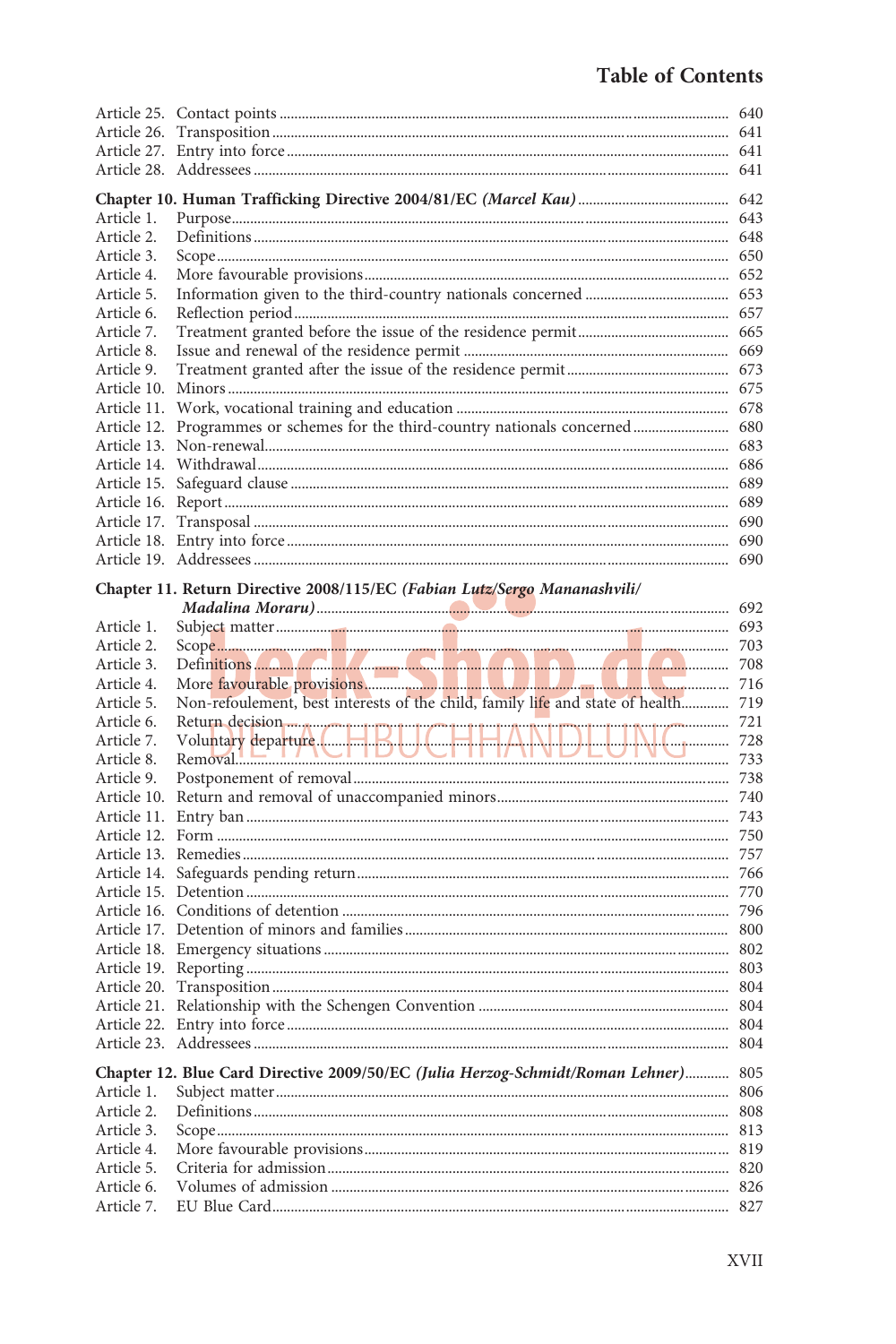| Article 1.               |                                                                                                                                                                                                                                                                                                                                                                                         |     |
|--------------------------|-----------------------------------------------------------------------------------------------------------------------------------------------------------------------------------------------------------------------------------------------------------------------------------------------------------------------------------------------------------------------------------------|-----|
| Article 2.               |                                                                                                                                                                                                                                                                                                                                                                                         |     |
| Article 3.               |                                                                                                                                                                                                                                                                                                                                                                                         |     |
| Article 4.               |                                                                                                                                                                                                                                                                                                                                                                                         |     |
| Article 5.               |                                                                                                                                                                                                                                                                                                                                                                                         |     |
| Article 6.               |                                                                                                                                                                                                                                                                                                                                                                                         |     |
| Article 7.               |                                                                                                                                                                                                                                                                                                                                                                                         |     |
| Article 8.               |                                                                                                                                                                                                                                                                                                                                                                                         |     |
| Article 9.               |                                                                                                                                                                                                                                                                                                                                                                                         |     |
|                          |                                                                                                                                                                                                                                                                                                                                                                                         |     |
|                          |                                                                                                                                                                                                                                                                                                                                                                                         |     |
|                          | Article 12. Programmes or schemes for the third-country nationals concerned 680                                                                                                                                                                                                                                                                                                         |     |
|                          |                                                                                                                                                                                                                                                                                                                                                                                         |     |
|                          |                                                                                                                                                                                                                                                                                                                                                                                         |     |
|                          |                                                                                                                                                                                                                                                                                                                                                                                         |     |
|                          |                                                                                                                                                                                                                                                                                                                                                                                         |     |
|                          |                                                                                                                                                                                                                                                                                                                                                                                         |     |
|                          |                                                                                                                                                                                                                                                                                                                                                                                         |     |
|                          |                                                                                                                                                                                                                                                                                                                                                                                         |     |
|                          |                                                                                                                                                                                                                                                                                                                                                                                         |     |
|                          | Chapter 11. Return Directive 2008/115/EC (Fabian Lutz/Sergo Mananashvili/                                                                                                                                                                                                                                                                                                               | 692 |
|                          |                                                                                                                                                                                                                                                                                                                                                                                         |     |
| Article 1.<br>Article 2. |                                                                                                                                                                                                                                                                                                                                                                                         | 703 |
| Article 3.               |                                                                                                                                                                                                                                                                                                                                                                                         | 708 |
| Article 4.               |                                                                                                                                                                                                                                                                                                                                                                                         |     |
| Article 5.               | Non-refoulement, best interests of the child, family life and state of health 719                                                                                                                                                                                                                                                                                                       |     |
| Article 6.               |                                                                                                                                                                                                                                                                                                                                                                                         |     |
| Article 7.               |                                                                                                                                                                                                                                                                                                                                                                                         |     |
| Article 8.               | Voluntary departure. HBUCHHANDLUNG 728                                                                                                                                                                                                                                                                                                                                                  |     |
| Article 9.               |                                                                                                                                                                                                                                                                                                                                                                                         |     |
|                          |                                                                                                                                                                                                                                                                                                                                                                                         |     |
| Article 11.              |                                                                                                                                                                                                                                                                                                                                                                                         |     |
|                          |                                                                                                                                                                                                                                                                                                                                                                                         | 750 |
|                          |                                                                                                                                                                                                                                                                                                                                                                                         | 757 |
|                          |                                                                                                                                                                                                                                                                                                                                                                                         |     |
|                          |                                                                                                                                                                                                                                                                                                                                                                                         |     |
|                          |                                                                                                                                                                                                                                                                                                                                                                                         |     |
|                          |                                                                                                                                                                                                                                                                                                                                                                                         | 800 |
|                          |                                                                                                                                                                                                                                                                                                                                                                                         |     |
|                          |                                                                                                                                                                                                                                                                                                                                                                                         |     |
|                          |                                                                                                                                                                                                                                                                                                                                                                                         | 804 |
|                          |                                                                                                                                                                                                                                                                                                                                                                                         |     |
|                          |                                                                                                                                                                                                                                                                                                                                                                                         | 804 |
|                          |                                                                                                                                                                                                                                                                                                                                                                                         | 804 |
|                          |                                                                                                                                                                                                                                                                                                                                                                                         |     |
|                          | Chapter 12. Blue Card Directive 2009/50/EC (Julia Herzog-Schmidt/Roman Lehner)                                                                                                                                                                                                                                                                                                          | 805 |
| Article 1.               |                                                                                                                                                                                                                                                                                                                                                                                         | 806 |
| Article 2.               |                                                                                                                                                                                                                                                                                                                                                                                         | 808 |
| Article 3.               | $\textbf{Scope} \textit{} \textit{} \textit{} \textit{} \textit{} \textit{} \textit{} \textit{} \textit{} \textit{} \textit{} \textit{} \textit{} \textit{} \textit{} \textit{} \textit{} \textit{} \textit{} \textit{} \textit{} \textit{} \textit{} \textit{} \textit{} \textit{} \textit{} \textit{} \textit{} \textit{} \textit{} \textit{} \textit{} \textit{} \textit{} \textit{$ | 813 |
| Article 4.               |                                                                                                                                                                                                                                                                                                                                                                                         | 819 |
| Article 5.<br>Article 6. |                                                                                                                                                                                                                                                                                                                                                                                         | 820 |
|                          |                                                                                                                                                                                                                                                                                                                                                                                         | 826 |
| Article 7.               |                                                                                                                                                                                                                                                                                                                                                                                         | 827 |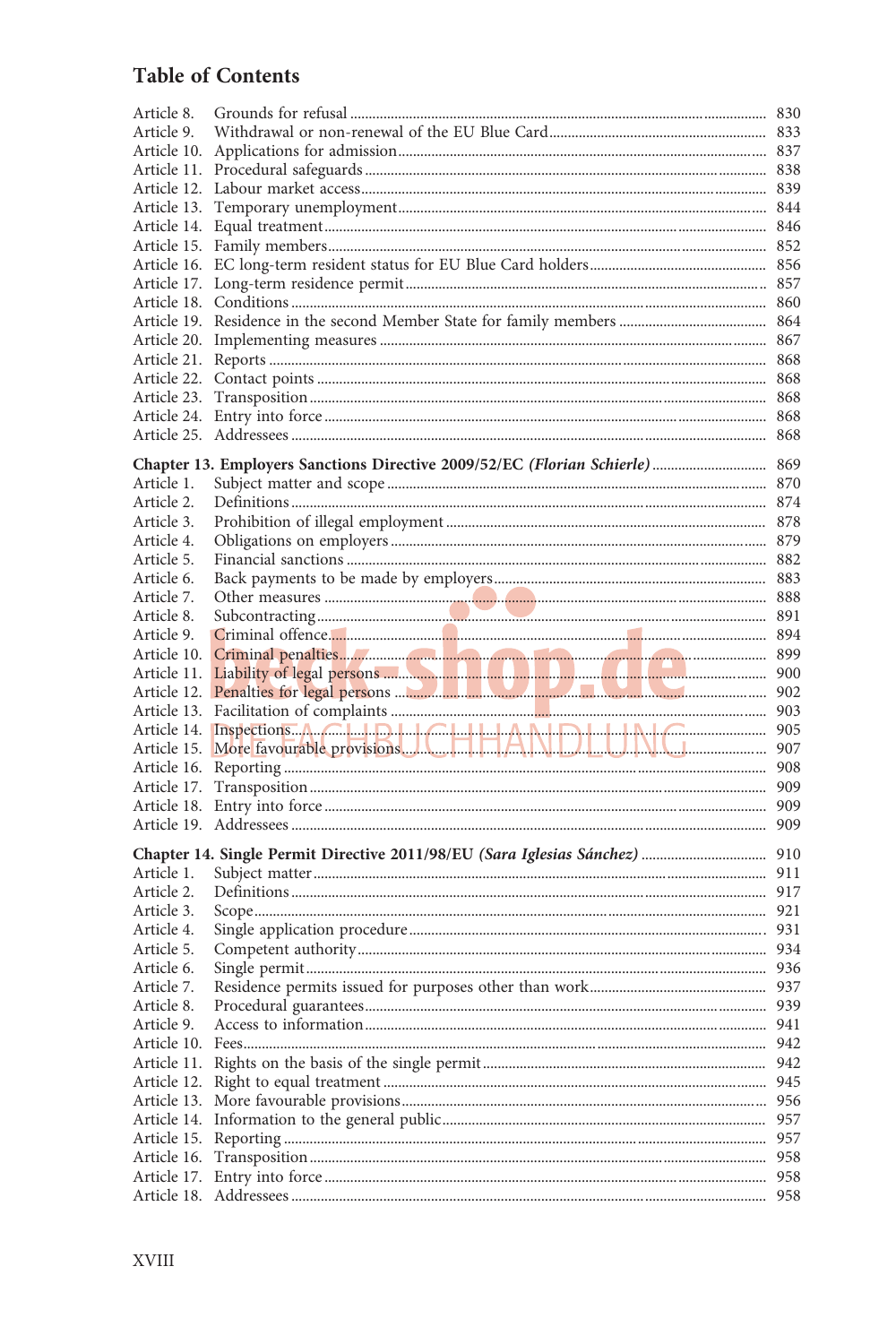| Article 8. |                                                                                         |            |
|------------|-----------------------------------------------------------------------------------------|------------|
| Article 9. |                                                                                         |            |
|            |                                                                                         |            |
|            |                                                                                         |            |
|            |                                                                                         |            |
|            |                                                                                         |            |
|            |                                                                                         |            |
|            |                                                                                         |            |
|            |                                                                                         |            |
|            |                                                                                         |            |
|            |                                                                                         |            |
|            |                                                                                         |            |
|            |                                                                                         |            |
|            |                                                                                         |            |
|            |                                                                                         |            |
|            |                                                                                         |            |
|            |                                                                                         |            |
|            |                                                                                         |            |
|            |                                                                                         |            |
| Article 1. |                                                                                         |            |
| Article 2. |                                                                                         |            |
| Article 3. |                                                                                         |            |
| Article 4. |                                                                                         |            |
| Article 5. |                                                                                         |            |
| Article 6. |                                                                                         |            |
| Article 7. |                                                                                         |            |
| Article 8. |                                                                                         |            |
| Article 9. |                                                                                         |            |
|            |                                                                                         |            |
|            |                                                                                         |            |
|            |                                                                                         |            |
|            |                                                                                         |            |
|            | Article 14. Inspections. A. C. L. L. D. L. L. C. L. L. L. A. A. L. D. L. L. L. A. L. C. | 905        |
|            |                                                                                         |            |
|            |                                                                                         |            |
|            |                                                                                         |            |
|            |                                                                                         |            |
|            |                                                                                         | 909        |
|            |                                                                                         |            |
| Article 1. |                                                                                         |            |
| Article 2. |                                                                                         |            |
| Article 3. |                                                                                         |            |
| Article 4. |                                                                                         |            |
| Article 5. |                                                                                         |            |
| Article 6. |                                                                                         |            |
| Article 7. |                                                                                         | 937        |
| Article 8. |                                                                                         |            |
| Article 9. |                                                                                         | 941        |
|            |                                                                                         | 942        |
|            |                                                                                         | 942        |
|            |                                                                                         | 945        |
|            |                                                                                         | 956        |
|            |                                                                                         | 957        |
|            |                                                                                         | 957        |
|            |                                                                                         | 958<br>958 |
|            |                                                                                         | 958        |
|            |                                                                                         |            |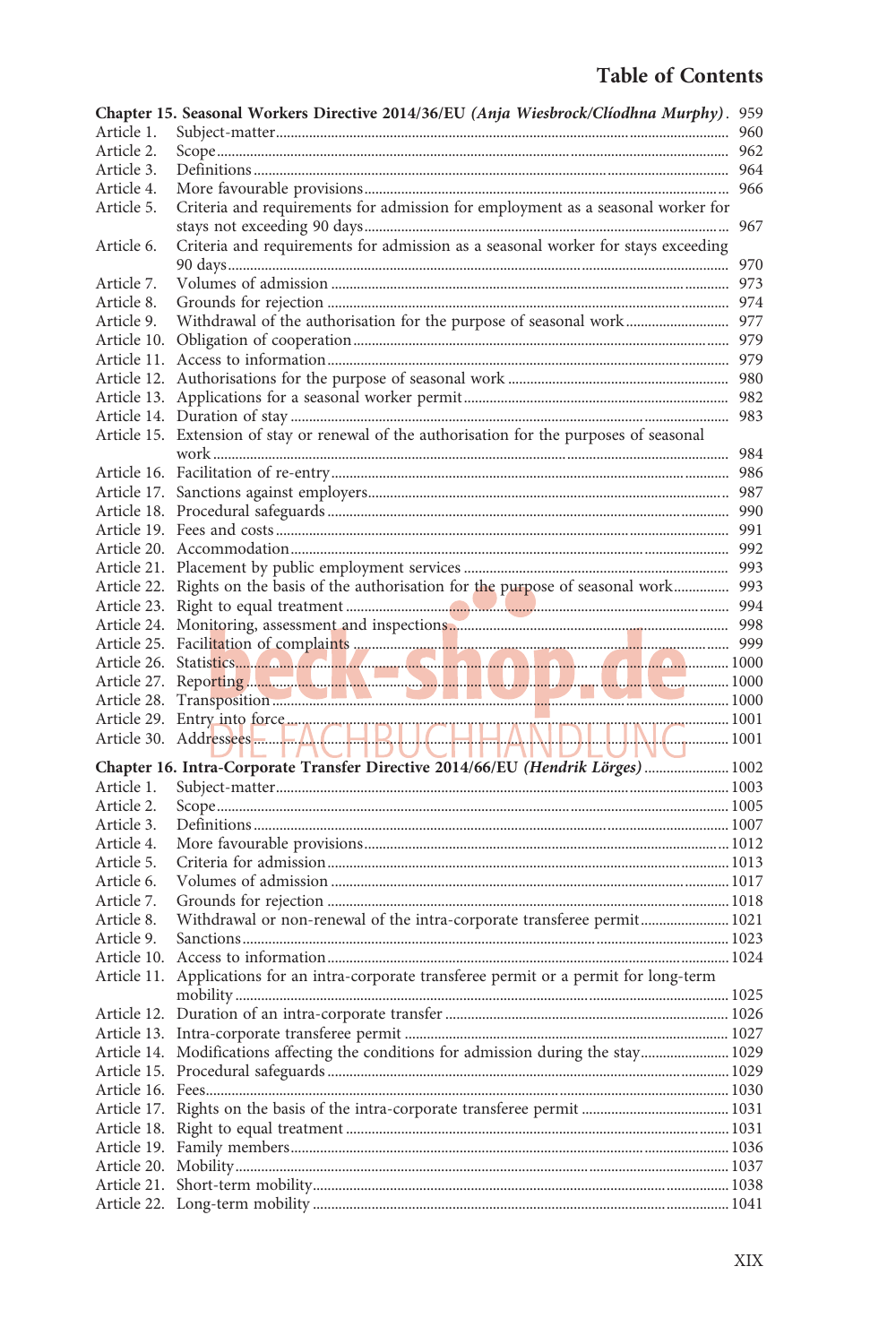|             | Chapter 15. Seasonal Workers Directive 2014/36/EU (Anja Wiesbrock/Cliodhna Murphy). 959                       | 960 |
|-------------|---------------------------------------------------------------------------------------------------------------|-----|
| Article 1.  |                                                                                                               |     |
| Article 2.  |                                                                                                               | 962 |
| Article 3.  |                                                                                                               | 964 |
| Article 4.  |                                                                                                               | 966 |
| Article 5.  | Criteria and requirements for admission for employment as a seasonal worker for                               | 967 |
| Article 6.  | Criteria and requirements for admission as a seasonal worker for stays exceeding                              |     |
| Article 7.  |                                                                                                               |     |
| Article 8.  |                                                                                                               |     |
| Article 9.  | Withdrawal of the authorisation for the purpose of seasonal work 977                                          |     |
|             |                                                                                                               |     |
|             |                                                                                                               |     |
|             |                                                                                                               |     |
|             |                                                                                                               | 982 |
|             |                                                                                                               | 983 |
|             | Article 15. Extension of stay or renewal of the authorisation for the purposes of seasonal                    |     |
|             |                                                                                                               | 984 |
|             |                                                                                                               | 986 |
|             |                                                                                                               |     |
|             |                                                                                                               |     |
|             |                                                                                                               |     |
|             |                                                                                                               |     |
|             |                                                                                                               |     |
|             | Article 22. Rights on the basis of the authorisation for the purpose of seasonal work 993                     |     |
|             |                                                                                                               |     |
|             |                                                                                                               |     |
|             |                                                                                                               |     |
|             | Article 26. Statistics. M. C. M. Communication of the Communication of the Communication of the Communication |     |
|             |                                                                                                               |     |
|             |                                                                                                               |     |
|             |                                                                                                               |     |
|             |                                                                                                               |     |
|             | Article 30. Addressees - ACHBUCHHANDEUM CHUM 1001                                                             |     |
|             | Chapter 16. Intra-Corporate Transfer Directive 2014/66/EU (Hendrik Lörges) 1002                               |     |
| Article 1.  |                                                                                                               |     |
| Article 2.  |                                                                                                               |     |
| Article 3.  |                                                                                                               |     |
| Article 4.  |                                                                                                               |     |
| Article 5.  |                                                                                                               |     |
| Article 6.  |                                                                                                               |     |
| Article 7.  |                                                                                                               |     |
| Article 8.  | Withdrawal or non-renewal of the intra-corporate transferee permit 1021                                       |     |
| Article 9.  |                                                                                                               |     |
| Article 10. |                                                                                                               |     |
| Article 11. | Applications for an intra-corporate transferee permit or a permit for long-term                               |     |
|             |                                                                                                               |     |
|             |                                                                                                               |     |
|             | Article 14. Modifications affecting the conditions for admission during the stay 1029                         |     |
|             |                                                                                                               |     |
|             |                                                                                                               |     |
|             |                                                                                                               |     |
|             |                                                                                                               |     |
|             |                                                                                                               |     |
|             |                                                                                                               |     |
|             |                                                                                                               |     |
|             |                                                                                                               |     |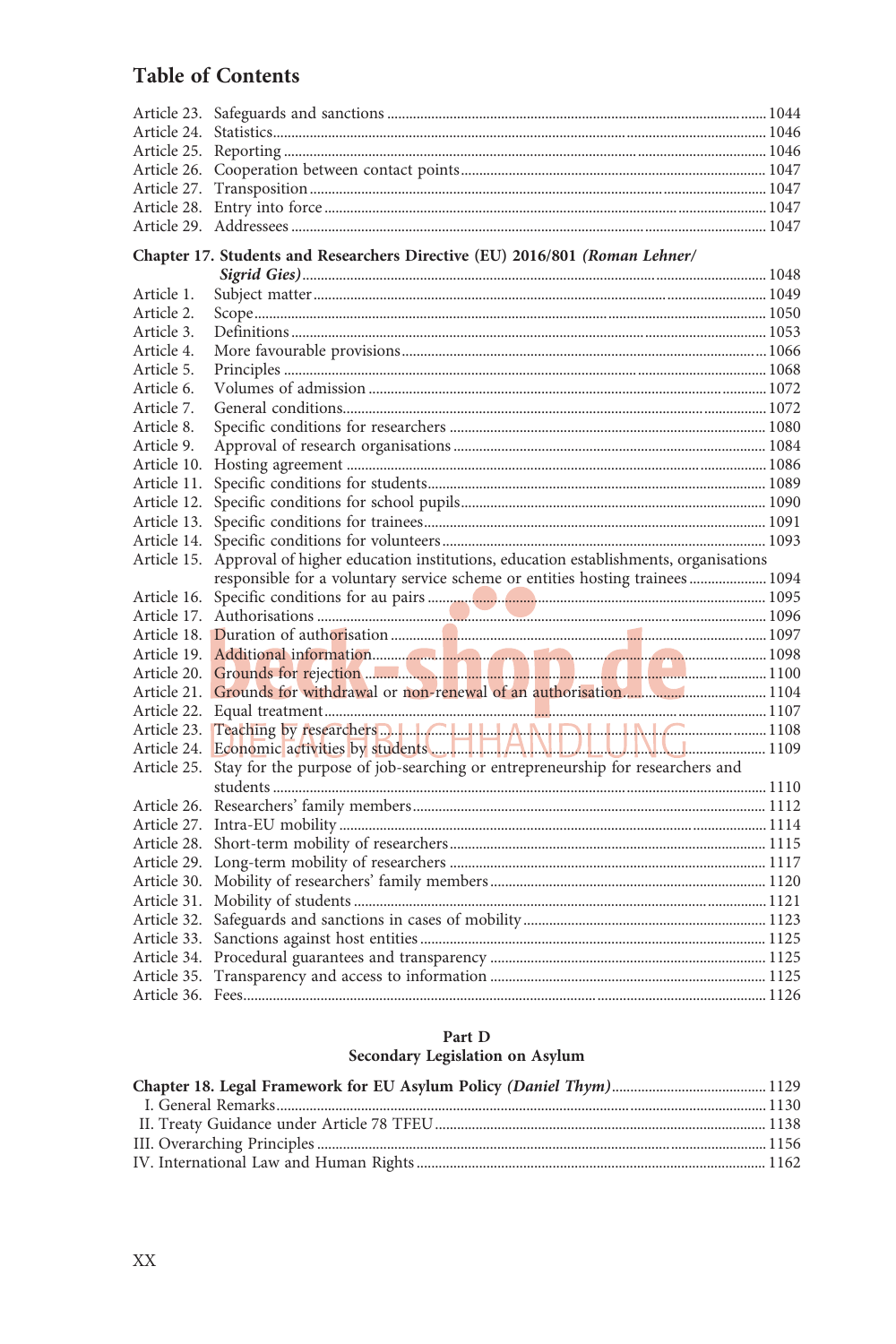|            | Chapter 17. Students and Researchers Directive (EU) 2016/801 (Roman Lehner/                                                    |  |
|------------|--------------------------------------------------------------------------------------------------------------------------------|--|
|            |                                                                                                                                |  |
| Article 1. |                                                                                                                                |  |
| Article 2. |                                                                                                                                |  |
| Article 3. |                                                                                                                                |  |
| Article 4. |                                                                                                                                |  |
| Article 5. |                                                                                                                                |  |
| Article 6. |                                                                                                                                |  |
| Article 7. |                                                                                                                                |  |
| Article 8. |                                                                                                                                |  |
| Article 9. |                                                                                                                                |  |
|            |                                                                                                                                |  |
|            |                                                                                                                                |  |
|            |                                                                                                                                |  |
|            |                                                                                                                                |  |
|            |                                                                                                                                |  |
|            | Article 15. Approval of higher education institutions, education establishments, organisations                                 |  |
|            | responsible for a voluntary service scheme or entities hosting trainees 1094                                                   |  |
|            |                                                                                                                                |  |
|            |                                                                                                                                |  |
|            |                                                                                                                                |  |
|            |                                                                                                                                |  |
|            |                                                                                                                                |  |
|            |                                                                                                                                |  |
|            |                                                                                                                                |  |
|            | Article 23. Teaching by researchers D.I.I.I.C. L.I.L.I.A.A.A.I.I.D.I.I.I.A.I.A.I.C.I.C. 23. Teaching by researchers D.I.I.I.C. |  |
|            |                                                                                                                                |  |
|            | Article 25. Stay for the purpose of job-searching or entrepreneurship for researchers and                                      |  |
|            |                                                                                                                                |  |
|            |                                                                                                                                |  |
|            |                                                                                                                                |  |
|            |                                                                                                                                |  |
|            |                                                                                                                                |  |
|            |                                                                                                                                |  |
|            |                                                                                                                                |  |
|            |                                                                                                                                |  |
|            |                                                                                                                                |  |
|            |                                                                                                                                |  |
|            |                                                                                                                                |  |
|            |                                                                                                                                |  |
|            |                                                                                                                                |  |

#### Part D

#### Secondary Legislation on Asylum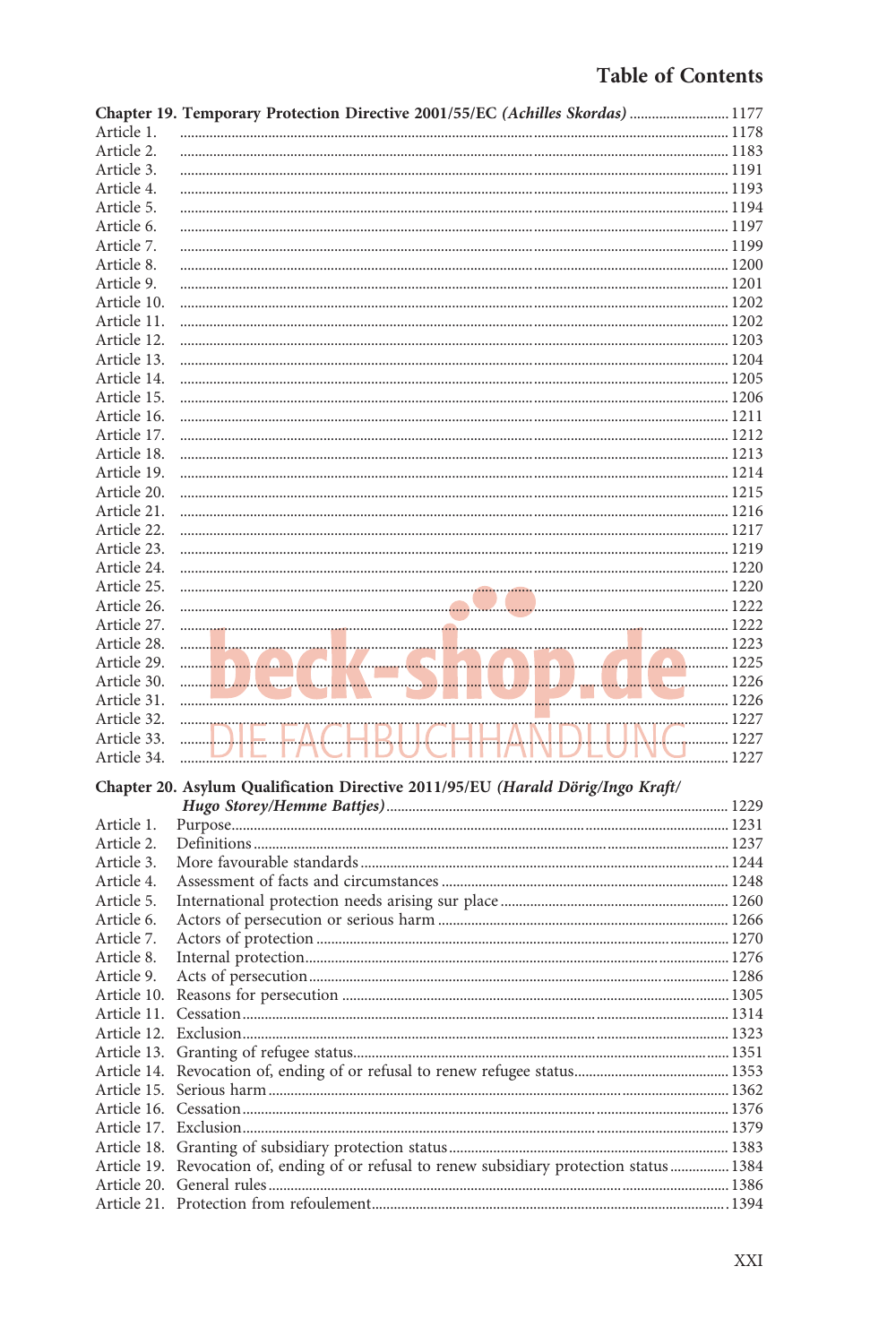|             | Chapter 19. Temporary Protection Directive 2001/55/EC (Achilles Skordas)  1177             |  |
|-------------|--------------------------------------------------------------------------------------------|--|
| Article 1.  |                                                                                            |  |
| Article 2.  |                                                                                            |  |
| Article 3.  |                                                                                            |  |
| Article 4.  |                                                                                            |  |
| Article 5.  |                                                                                            |  |
| Article 6.  |                                                                                            |  |
| Article 7.  |                                                                                            |  |
| Article 8.  |                                                                                            |  |
| Article 9.  |                                                                                            |  |
| Article 10. |                                                                                            |  |
| Article 11. |                                                                                            |  |
| Article 12. |                                                                                            |  |
| Article 13. |                                                                                            |  |
| Article 14. |                                                                                            |  |
| Article 15. |                                                                                            |  |
| Article 16. |                                                                                            |  |
| Article 17. |                                                                                            |  |
| Article 18. |                                                                                            |  |
| Article 19. |                                                                                            |  |
| Article 20. |                                                                                            |  |
| Article 21. |                                                                                            |  |
| Article 22. |                                                                                            |  |
| Article 23. |                                                                                            |  |
| Article 24. |                                                                                            |  |
|             |                                                                                            |  |
| Article 25. |                                                                                            |  |
| Article 26. |                                                                                            |  |
| Article 27. |                                                                                            |  |
| Article 28. |                                                                                            |  |
| Article 29. |                                                                                            |  |
| Article 30. |                                                                                            |  |
| Article 31. | 1226                                                                                       |  |
| Article 32. |                                                                                            |  |
| Article 33. | DIE FACHBUCHHANDLUNG                                                                       |  |
| Article 34. |                                                                                            |  |
|             | Chapter 20. Asylum Qualification Directive 2011/95/EU (Harald Dörig/Ingo Kraft/            |  |
|             |                                                                                            |  |
| Article 1.  |                                                                                            |  |
| Article 2.  |                                                                                            |  |
| Article 3.  |                                                                                            |  |
| Article 4.  |                                                                                            |  |
| Article 5.  |                                                                                            |  |
| Article 6.  |                                                                                            |  |
| Article 7.  |                                                                                            |  |
|             |                                                                                            |  |
| Article 8.  |                                                                                            |  |
| Article 9.  |                                                                                            |  |
|             |                                                                                            |  |
|             |                                                                                            |  |
|             |                                                                                            |  |
|             |                                                                                            |  |
|             |                                                                                            |  |
|             |                                                                                            |  |
|             |                                                                                            |  |
|             |                                                                                            |  |
|             |                                                                                            |  |
|             | Article 19. Revocation of, ending of or refusal to renew subsidiary protection status 1384 |  |
|             |                                                                                            |  |
|             |                                                                                            |  |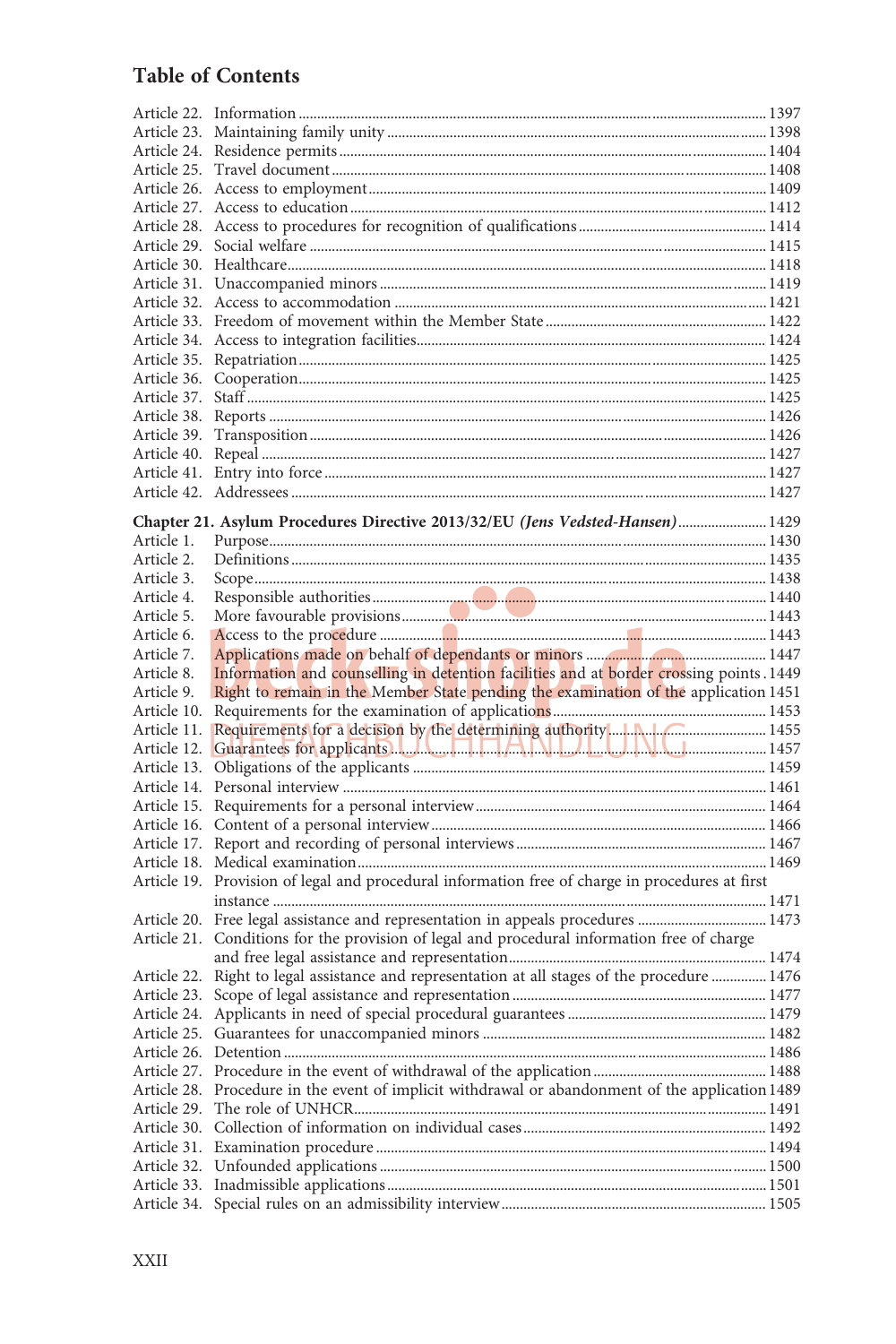|            | Chapter 21. Asylum Procedures Directive 2013/32/EU (Jens Vedsted-Hansen) 1429                    |  |
|------------|--------------------------------------------------------------------------------------------------|--|
| Article 1. |                                                                                                  |  |
| Article 2. |                                                                                                  |  |
| Article 3. |                                                                                                  |  |
| Article 4. |                                                                                                  |  |
| Article 5. |                                                                                                  |  |
| Article 6. |                                                                                                  |  |
| Article 7. |                                                                                                  |  |
| Article 8. | Information and counselling in detention facilities and at border crossing points. 1449          |  |
| Article 9. | Right to remain in the Member State pending the examination of the application 1451              |  |
|            |                                                                                                  |  |
|            |                                                                                                  |  |
|            |                                                                                                  |  |
|            |                                                                                                  |  |
|            |                                                                                                  |  |
|            |                                                                                                  |  |
|            |                                                                                                  |  |
|            |                                                                                                  |  |
|            |                                                                                                  |  |
|            |                                                                                                  |  |
|            | Article 19. Provision of legal and procedural information free of charge in procedures at first  |  |
|            |                                                                                                  |  |
|            | Article 20. Free legal assistance and representation in appeals procedures  1473                 |  |
|            | Article 21. Conditions for the provision of legal and procedural information free of charge      |  |
|            |                                                                                                  |  |
|            | Article 22. Right to legal assistance and representation at all stages of the procedure  1476    |  |
|            |                                                                                                  |  |
|            |                                                                                                  |  |
|            |                                                                                                  |  |
|            |                                                                                                  |  |
|            |                                                                                                  |  |
|            | Article 28. Procedure in the event of implicit withdrawal or abandonment of the application 1489 |  |
|            |                                                                                                  |  |
|            |                                                                                                  |  |
|            |                                                                                                  |  |
|            |                                                                                                  |  |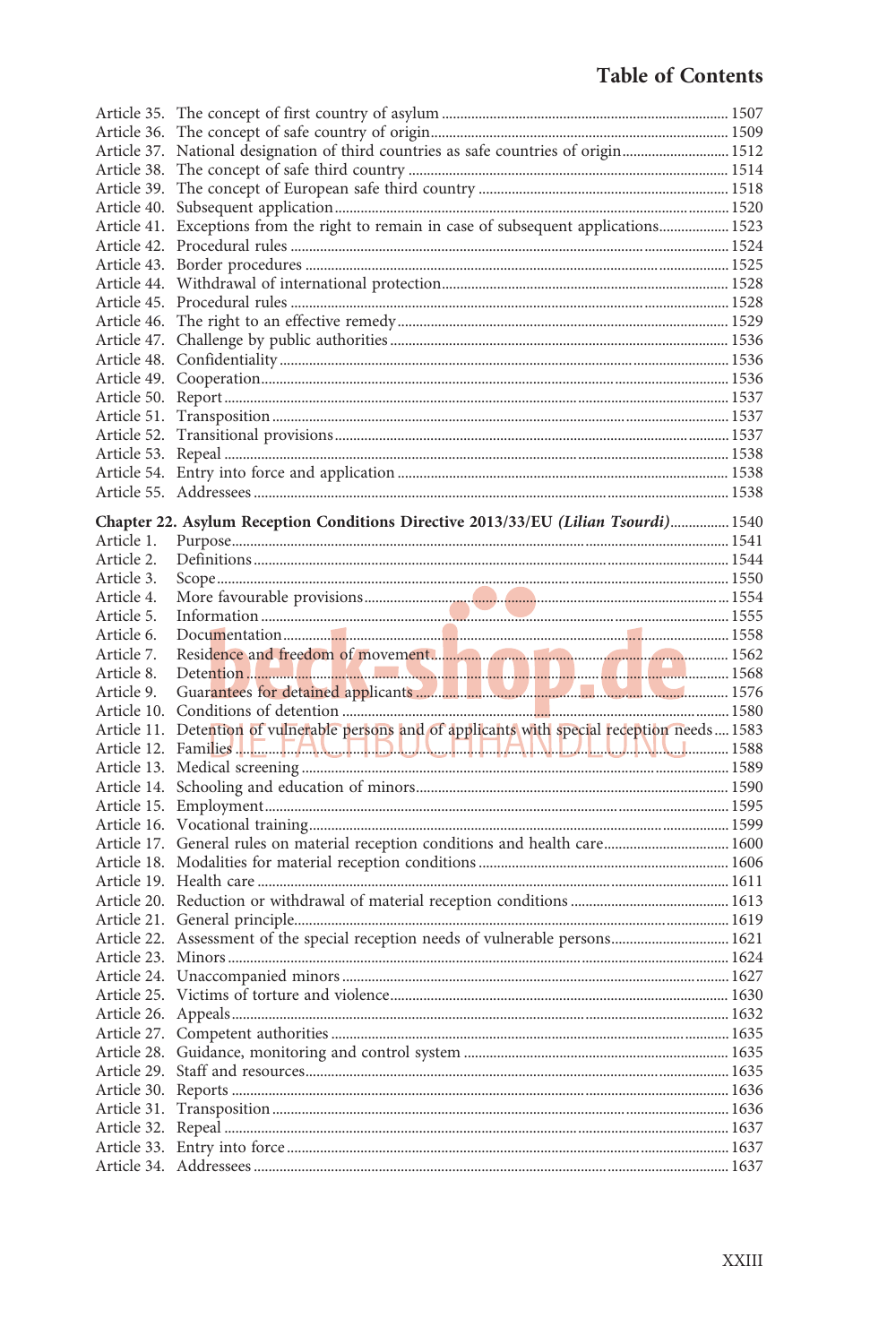|            | Article 37. National designation of third countries as safe countries of origin 1512                             |  |
|------------|------------------------------------------------------------------------------------------------------------------|--|
|            |                                                                                                                  |  |
|            |                                                                                                                  |  |
|            |                                                                                                                  |  |
|            | Article 41. Exceptions from the right to remain in case of subsequent applications 1523                          |  |
|            |                                                                                                                  |  |
|            |                                                                                                                  |  |
|            |                                                                                                                  |  |
|            |                                                                                                                  |  |
|            |                                                                                                                  |  |
|            |                                                                                                                  |  |
|            |                                                                                                                  |  |
|            |                                                                                                                  |  |
|            |                                                                                                                  |  |
|            |                                                                                                                  |  |
|            |                                                                                                                  |  |
|            |                                                                                                                  |  |
|            |                                                                                                                  |  |
|            |                                                                                                                  |  |
|            |                                                                                                                  |  |
|            | Chapter 22. Asylum Reception Conditions Directive 2013/33/EU (Lilian Tsourdi) 1540                               |  |
| Article 1. |                                                                                                                  |  |
| Article 2. |                                                                                                                  |  |
| Article 3. |                                                                                                                  |  |
| Article 4. |                                                                                                                  |  |
| Article 5. |                                                                                                                  |  |
|            |                                                                                                                  |  |
| Article 6. |                                                                                                                  |  |
|            |                                                                                                                  |  |
| Article 7. |                                                                                                                  |  |
| Article 8. |                                                                                                                  |  |
| Article 9. |                                                                                                                  |  |
|            |                                                                                                                  |  |
|            | Article 11. Detention of vulnerable persons and of applicants with special reception needs1583                   |  |
|            | Article 12. Families <u>F., A. L., T., A. L., T., D. L., A. L., T., L., A. L., L., L., L., L., L., L., L., .</u> |  |
|            |                                                                                                                  |  |
|            |                                                                                                                  |  |
|            |                                                                                                                  |  |
|            |                                                                                                                  |  |
|            | Article 17. General rules on material reception conditions and health care 1600                                  |  |
|            |                                                                                                                  |  |
|            |                                                                                                                  |  |
|            |                                                                                                                  |  |
|            |                                                                                                                  |  |
|            | Article 22. Assessment of the special reception needs of vulnerable persons 1621                                 |  |
|            |                                                                                                                  |  |
|            |                                                                                                                  |  |
|            |                                                                                                                  |  |
|            |                                                                                                                  |  |
|            |                                                                                                                  |  |
|            |                                                                                                                  |  |
|            |                                                                                                                  |  |
|            |                                                                                                                  |  |
|            |                                                                                                                  |  |
|            |                                                                                                                  |  |
|            |                                                                                                                  |  |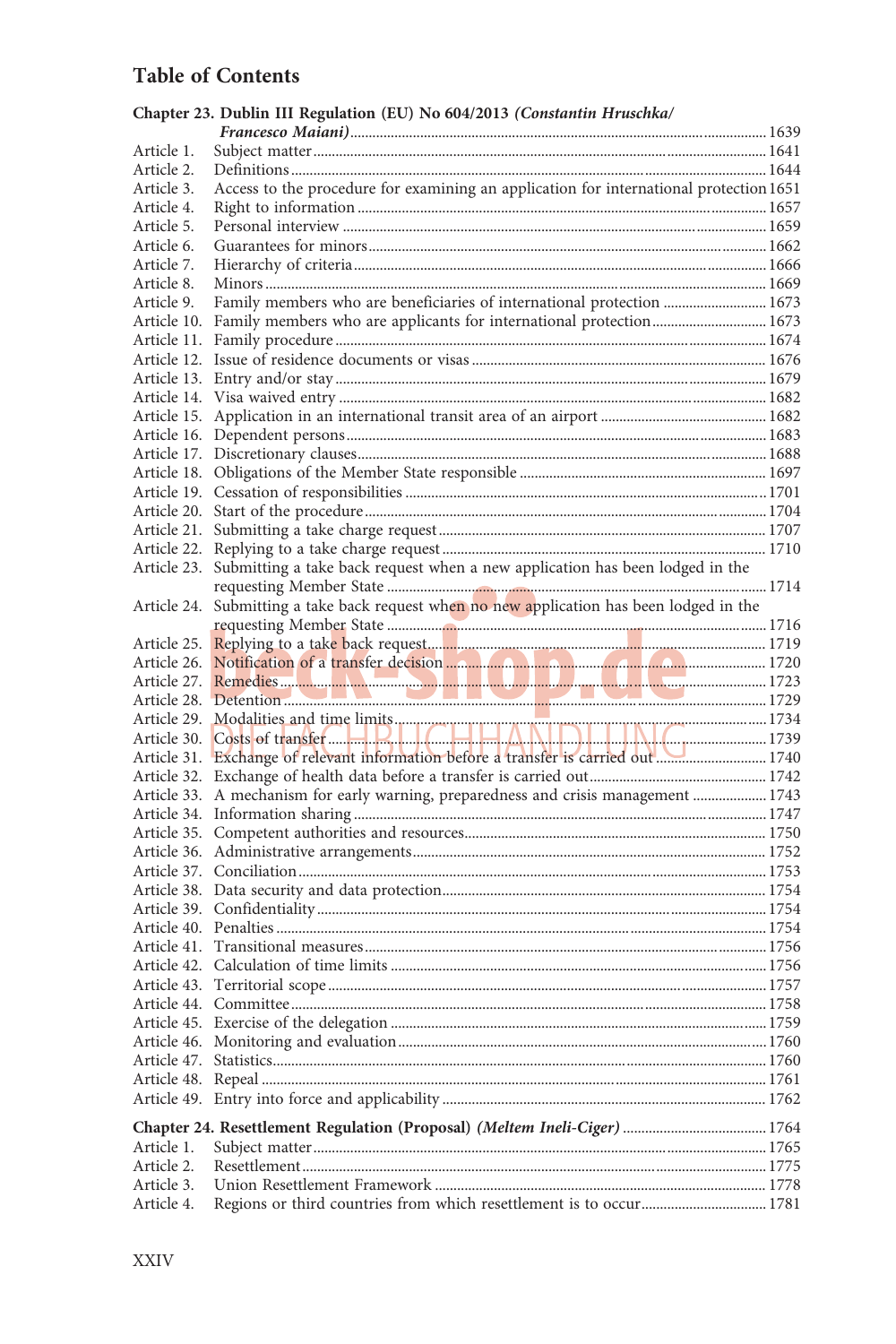|            | Chapter 23. Dublin III Regulation (EU) No 604/2013 (Constantin Hruschka/                  |  |
|------------|-------------------------------------------------------------------------------------------|--|
|            |                                                                                           |  |
| Article 1. |                                                                                           |  |
| Article 2. |                                                                                           |  |
| Article 3. | Access to the procedure for examining an application for international protection 1651    |  |
| Article 4. |                                                                                           |  |
| Article 5. |                                                                                           |  |
| Article 6. |                                                                                           |  |
| Article 7. |                                                                                           |  |
| Article 8. |                                                                                           |  |
| Article 9. | Family members who are beneficiaries of international protection  1673                    |  |
|            | Article 10. Family members who are applicants for international protection 1673           |  |
|            |                                                                                           |  |
|            |                                                                                           |  |
|            |                                                                                           |  |
|            |                                                                                           |  |
|            |                                                                                           |  |
|            |                                                                                           |  |
|            |                                                                                           |  |
|            |                                                                                           |  |
|            |                                                                                           |  |
|            |                                                                                           |  |
|            |                                                                                           |  |
|            |                                                                                           |  |
|            | Article 23. Submitting a take back request when a new application has been lodged in the  |  |
|            |                                                                                           |  |
|            | Article 24. Submitting a take back request when no new application has been lodged in the |  |
|            |                                                                                           |  |
|            |                                                                                           |  |
|            |                                                                                           |  |
|            | Article 28. Detention 1729                                                                |  |
|            |                                                                                           |  |
|            |                                                                                           |  |
|            | Article 31. Exchange of relevant information before a transfer is carried out 1740        |  |
|            |                                                                                           |  |
|            | Article 33. A mechanism for early warning, preparedness and crisis management  1743       |  |
|            |                                                                                           |  |
|            |                                                                                           |  |
|            |                                                                                           |  |
|            |                                                                                           |  |
|            |                                                                                           |  |
|            |                                                                                           |  |
|            |                                                                                           |  |
|            |                                                                                           |  |
|            |                                                                                           |  |
|            |                                                                                           |  |
|            |                                                                                           |  |
|            |                                                                                           |  |
|            |                                                                                           |  |
|            |                                                                                           |  |
|            |                                                                                           |  |
|            |                                                                                           |  |
|            |                                                                                           |  |
| Article 1. |                                                                                           |  |
| Article 2. |                                                                                           |  |
| Article 3. |                                                                                           |  |
| Article 4. |                                                                                           |  |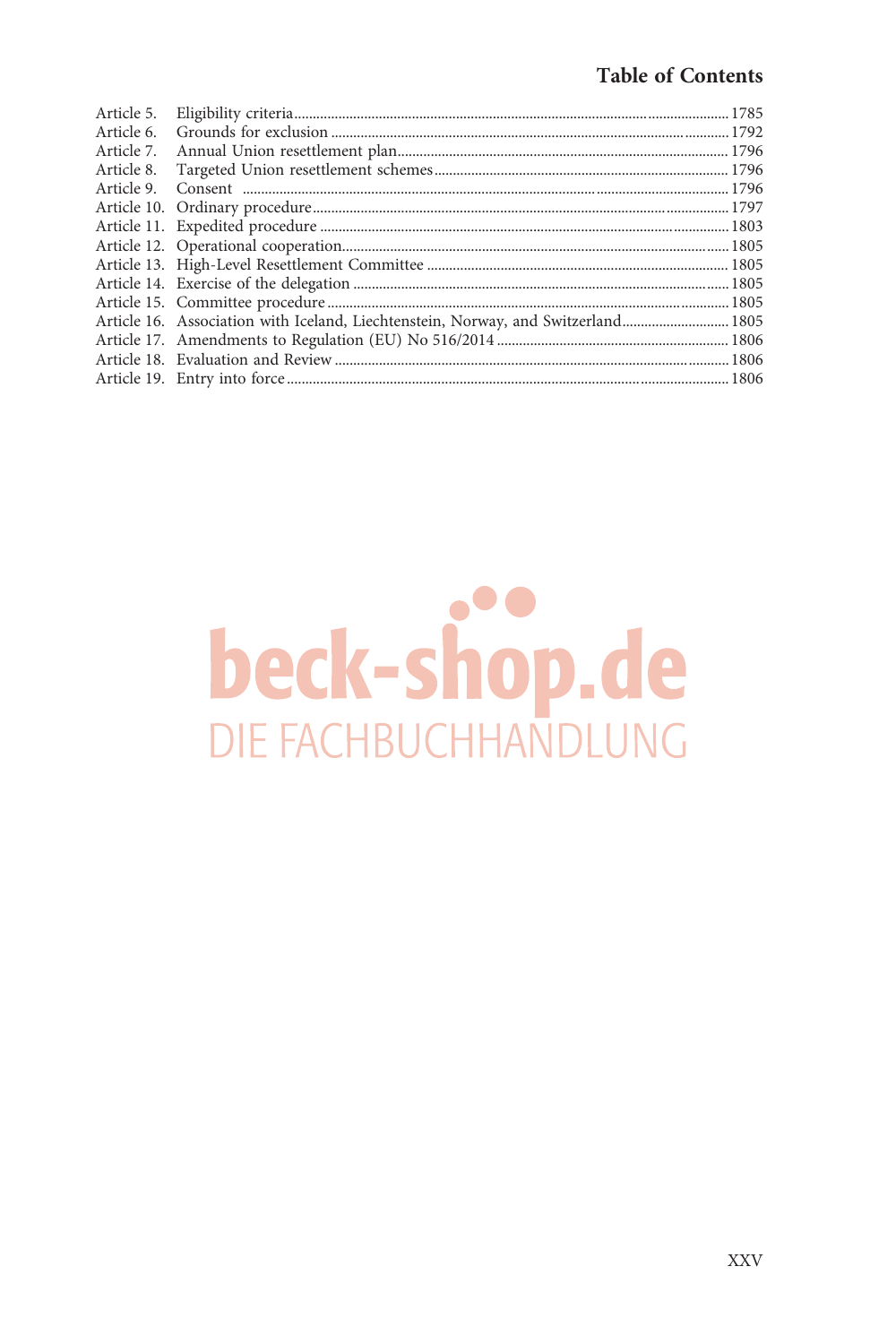| Article 5. |                                                                                   |  |
|------------|-----------------------------------------------------------------------------------|--|
| Article 6. |                                                                                   |  |
| Article 7. |                                                                                   |  |
| Article 8. |                                                                                   |  |
|            |                                                                                   |  |
|            |                                                                                   |  |
|            |                                                                                   |  |
|            |                                                                                   |  |
|            |                                                                                   |  |
|            |                                                                                   |  |
|            |                                                                                   |  |
|            | Article 16. Association with Iceland, Liechtenstein, Norway, and Switzerland 1805 |  |
|            |                                                                                   |  |
|            |                                                                                   |  |
|            |                                                                                   |  |
|            |                                                                                   |  |

# **beck-shop.de**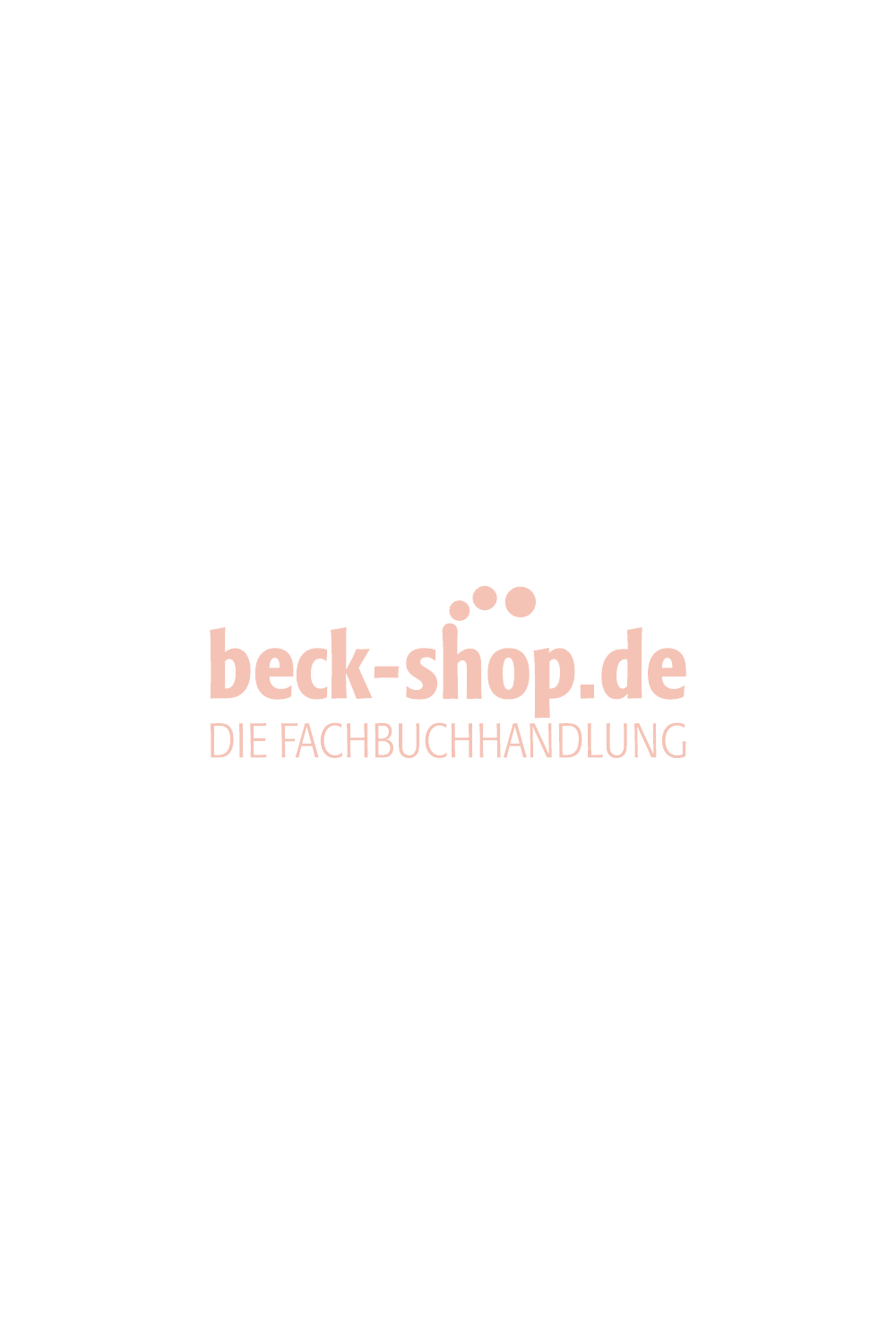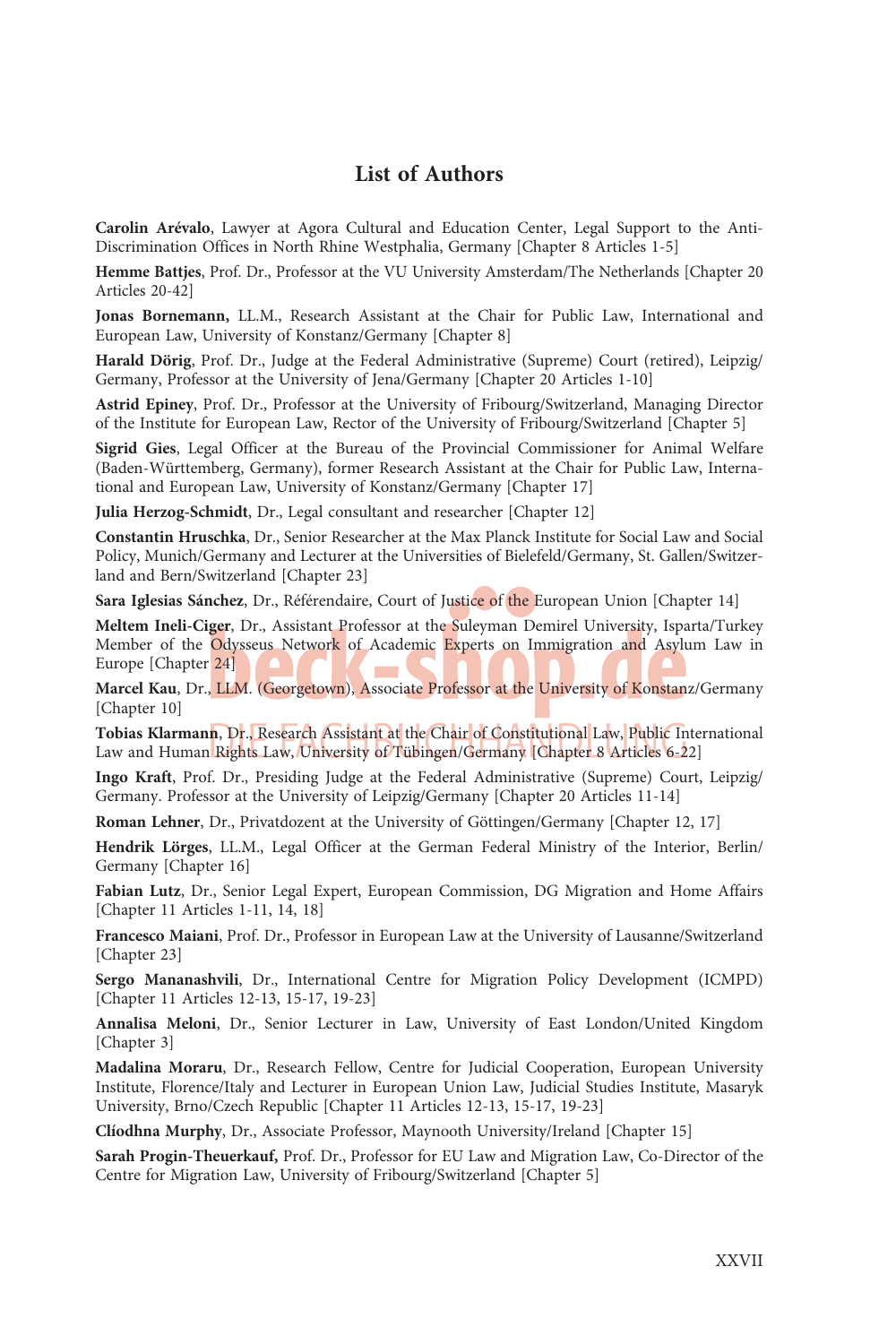#### List of Authors

Carolin Arévalo, Lawyer at Agora Cultural and Education Center, Legal Support to the Anti-Discrimination Offices in North Rhine Westphalia, Germany [Chapter 8 Articles 1-5]

Hemme Battjes, Prof. Dr., Professor at the VU University Amsterdam/The Netherlands [Chapter 20 Articles 20-42]

Jonas Bornemann, LL.M., Research Assistant at the Chair for Public Law, International and European Law, University of Konstanz/Germany [Chapter 8]

Harald Dörig, Prof. Dr., Judge at the Federal Administrative (Supreme) Court (retired), Leipzig/ Germany, Professor at the University of Jena/Germany [Chapter 20 Articles 1-10]

Astrid Epiney, Prof. Dr., Professor at the University of Fribourg/Switzerland, Managing Director of the Institute for European Law, Rector of the University of Fribourg/Switzerland [Chapter 5]

Sigrid Gies, Legal Officer at the Bureau of the Provincial Commissioner for Animal Welfare (Baden-Württemberg, Germany), former Research Assistant at the Chair for Public Law, International and European Law, University of Konstanz/Germany [Chapter 17]

Julia Herzog-Schmidt, Dr., Legal consultant and researcher [Chapter 12]

Constantin Hruschka, Dr., Senior Researcher at the Max Planck Institute for Social Law and Social Policy, Munich/Germany and Lecturer at the Universities of Bielefeld/Germany, St. Gallen/Switzerland and Bern/Switzerland [Chapter 23]

Sara Iglesias Sánchez, Dr., Référendaire, Court of Justice of the European Union [Chapter 14]

Meltem Ineli-Ciger, Dr., Assistant Professor at the Suleyman Demirel University, Isparta/Turkey Member of the Odysseus Network of Academic Experts on Immigration and Asylum Law in Europe [Chapter 24]

Marcel Kau, Dr., LLM. (Georgetown), Associate Professor at the University of Konstanz/Germany [Chapter 10]

Tobias Klarmann, Dr., Research Assistant at the Chair of Constitutional Law, Public International Law and Human Rights Law, University of Tübingen/Germany [Chapter 8 Articles 6-22]

Ingo Kraft, Prof. Dr., Presiding Judge at the Federal Administrative (Supreme) Court, Leipzig/ Germany. Professor at the University of Leipzig/Germany [Chapter 20 Articles 11-14]

Roman Lehner, Dr., Privatdozent at the University of Göttingen/Germany [Chapter 12, 17]

Hendrik Lörges, LL.M., Legal Officer at the German Federal Ministry of the Interior, Berlin/ Germany [Chapter 16]

Fabian Lutz, Dr., Senior Legal Expert, European Commission, DG Migration and Home Affairs [Chapter 11 Articles 1-11, 14, 18]

Francesco Maiani, Prof. Dr., Professor in European Law at the University of Lausanne/Switzerland [Chapter 23]

Sergo Mananashvili, Dr., International Centre for Migration Policy Development (ICMPD) [Chapter 11 Articles 12-13, 15-17, 19-23]

Annalisa Meloni, Dr., Senior Lecturer in Law, University of East London/United Kingdom [Chapter 3]

Madalina Moraru, Dr., Research Fellow, Centre for Judicial Cooperation, European University Institute, Florence/Italy and Lecturer in European Union Law, Judicial Studies Institute, Masaryk University, Brno/Czech Republic [Chapter 11 Articles 12-13, 15-17, 19-23]

Clíodhna Murphy, Dr., Associate Professor, Maynooth University/Ireland [Chapter 15]

Sarah Progin-Theuerkauf, Prof. Dr., Professor for EU Law and Migration Law, Co-Director of the Centre for Migration Law, University of Fribourg/Switzerland [Chapter 5]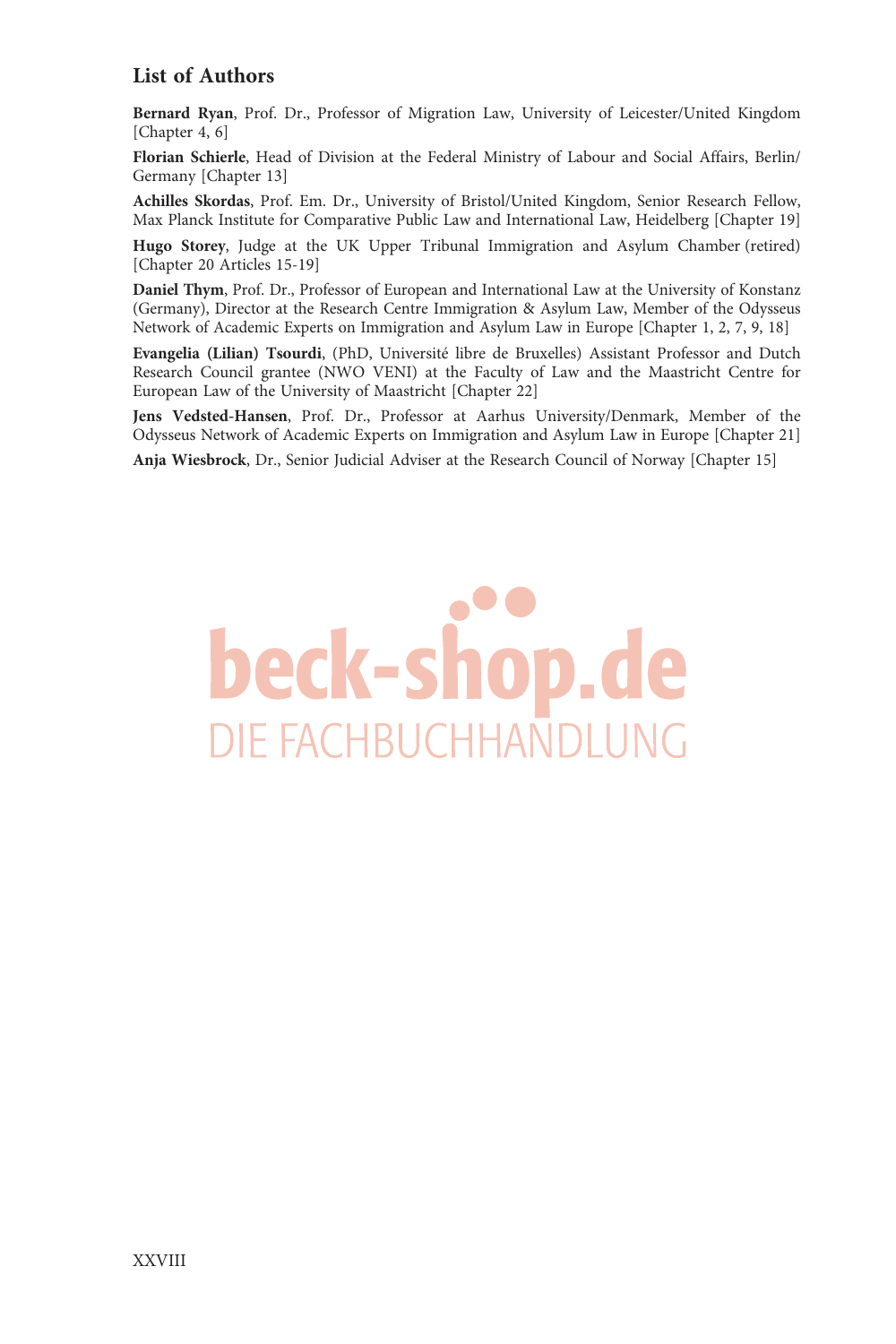#### List of Authors

Bernard Ryan, Prof. Dr., Professor of Migration Law, University of Leicester/United Kingdom [Chapter 4, 6]

Florian Schierle, Head of Division at the Federal Ministry of Labour and Social Affairs, Berlin/ Germany [Chapter 13]

Achilles Skordas, Prof. Em. Dr., University of Bristol/United Kingdom, Senior Research Fellow, Max Planck Institute for Comparative Public Law and International Law, Heidelberg [Chapter 19]

Hugo Storey, Judge at the UK Upper Tribunal Immigration and Asylum Chamber (retired) [Chapter 20 Articles 15-19]

Daniel Thym, Prof. Dr., Professor of European and International Law at the University of Konstanz (Germany), Director at the Research Centre Immigration & Asylum Law, Member of the Odysseus Network of Academic Experts on Immigration and Asylum Law in Europe [Chapter 1, 2, 7, 9, 18]

Evangelia (Lilian) Tsourdi, (PhD, Université libre de Bruxelles) Assistant Professor and Dutch Research Council grantee (NWO VENI) at the Faculty of Law and the Maastricht Centre for European Law of the University of Maastricht [Chapter 22]

Jens Vedsted-Hansen, Prof. Dr., Professor at Aarhus University/Denmark, Member of the Odysseus Network of Academic Experts on Immigration and Asylum Law in Europe [Chapter 21] Anja Wiesbrock, Dr., Senior Judicial Adviser at the Research Council of Norway [Chapter 15]

# beck-shop.d DIE FACHBUCHHANDLUNG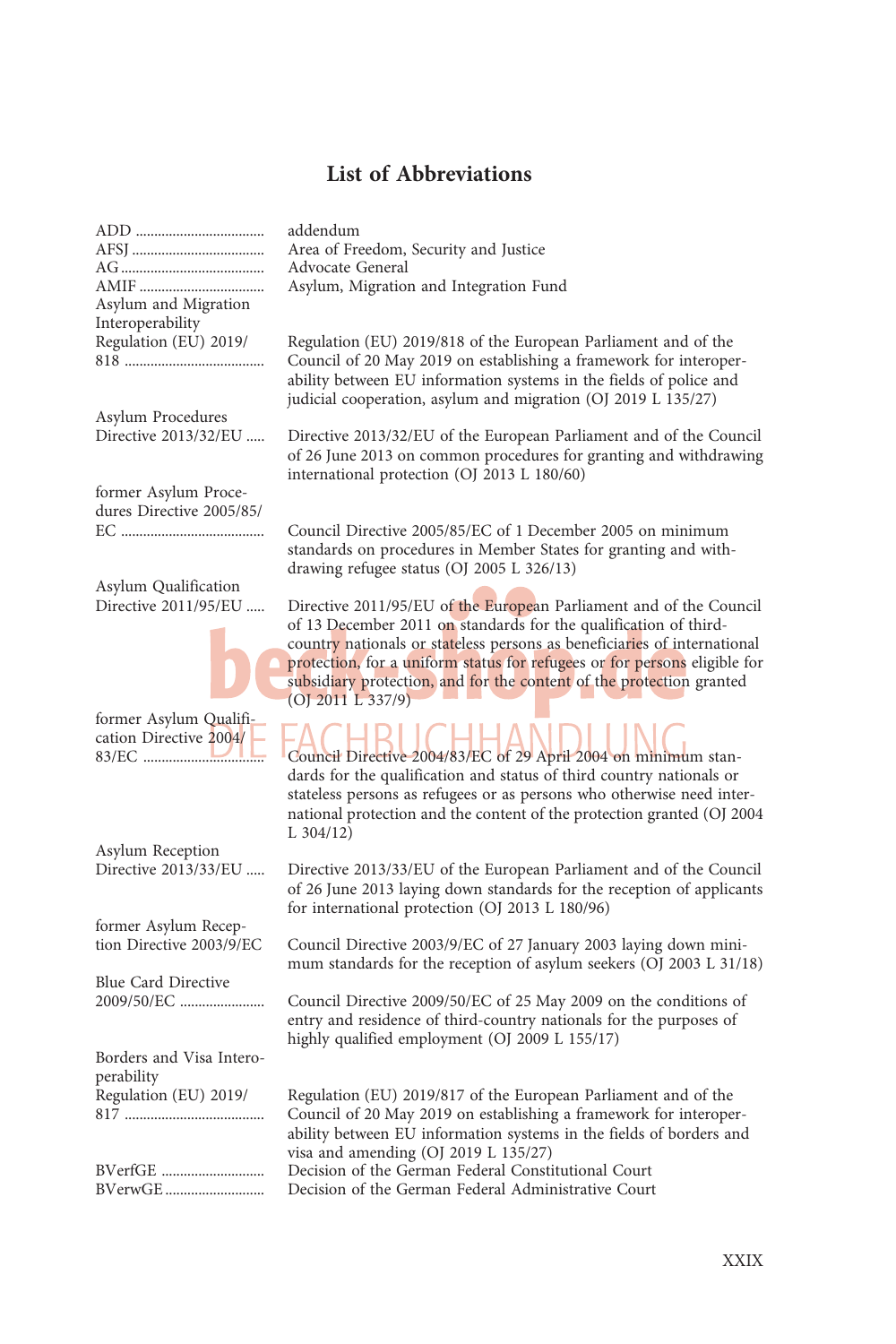#### List of Abbreviations

| Asylum and Migration  |
|-----------------------|
| Interoperability      |
| Regulation (EU) 2019/ |
|                       |
|                       |

Asylum Procedures<br>Directive 2013/32/EU .....

former Asylum Procedures Directive 2005/85/

Asylum Qualification<br>Directive 2011/95/EU .....



former Asylum Qualification Directive 2004/

Asylum Reception<br>Directive 2013/33/EU .....

former Asylum Recep-

Blue Card Directive<br>2009/50/EC ........................

Borders and Visa Interoperability Regulation (EU) 2019/ 817 ......................................

addendum Area of Freedom, Security and Justice Advocate General Asylum, Migration and Integration Fund

Regulation (EU) 2019/818 of the European Parliament and of the Council of 20 May 2019 on establishing a framework for interoperability between EU information systems in the fields of police and judicial cooperation, asylum and migration (OJ 2019 L  $\overline{1}35/27$ )

Directive 2013/32/EU of the European Parliament and of the Council of 26 June 2013 on common procedures for granting and withdrawing international protection (OJ 2013 L 180/60)

Council Directive 2005/85/EC of 1 December 2005 on minimum standards on procedures in Member States for granting and withdrawing refugee status (OJ 2005 L 326/13)

Directive 2011/95/EU of the European Parliament and of the Council of 13 December 2011 on standards for the qualification of thirdcountry nationals or stateless persons as beneficiaries of international protection, for a uniform status for refugees or for persons eligible for subsidiary protection, and for the content of the protection granted (OJ 2011 L 337/9)

### Council Directive 2004/83/EC of 29 April 2004 on minimum stan-

dards for the qualification and status of third country nationals or stateless persons as refugees or as persons who otherwise need international protection and the content of the protection granted (OJ 2004 L 304/12)

Directive 2013/33/EU of the European Parliament and of the Council of 26 June 2013 laying down standards for the reception of applicants for international protection (OJ 2013 L 180/96)

tion Directive 2003/9/EC Council Directive 2003/9/EC of 27 January 2003 laying down minimum standards for the reception of asylum seekers (OJ 2003 L 31/18)

> Council Directive 2009/50/EC of 25 May 2009 on the conditions of entry and residence of third-country nationals for the purposes of highly qualified employment (OJ 2009 L 155/17)

> Regulation (EU) 2019/817 of the European Parliament and of the Council of 20 May 2019 on establishing a framework for interoperability between EU information systems in the fields of borders and visa and amending (OJ 2019 L 135/27) Decision of the German Federal Constitutional Court Decision of the German Federal Administrative Court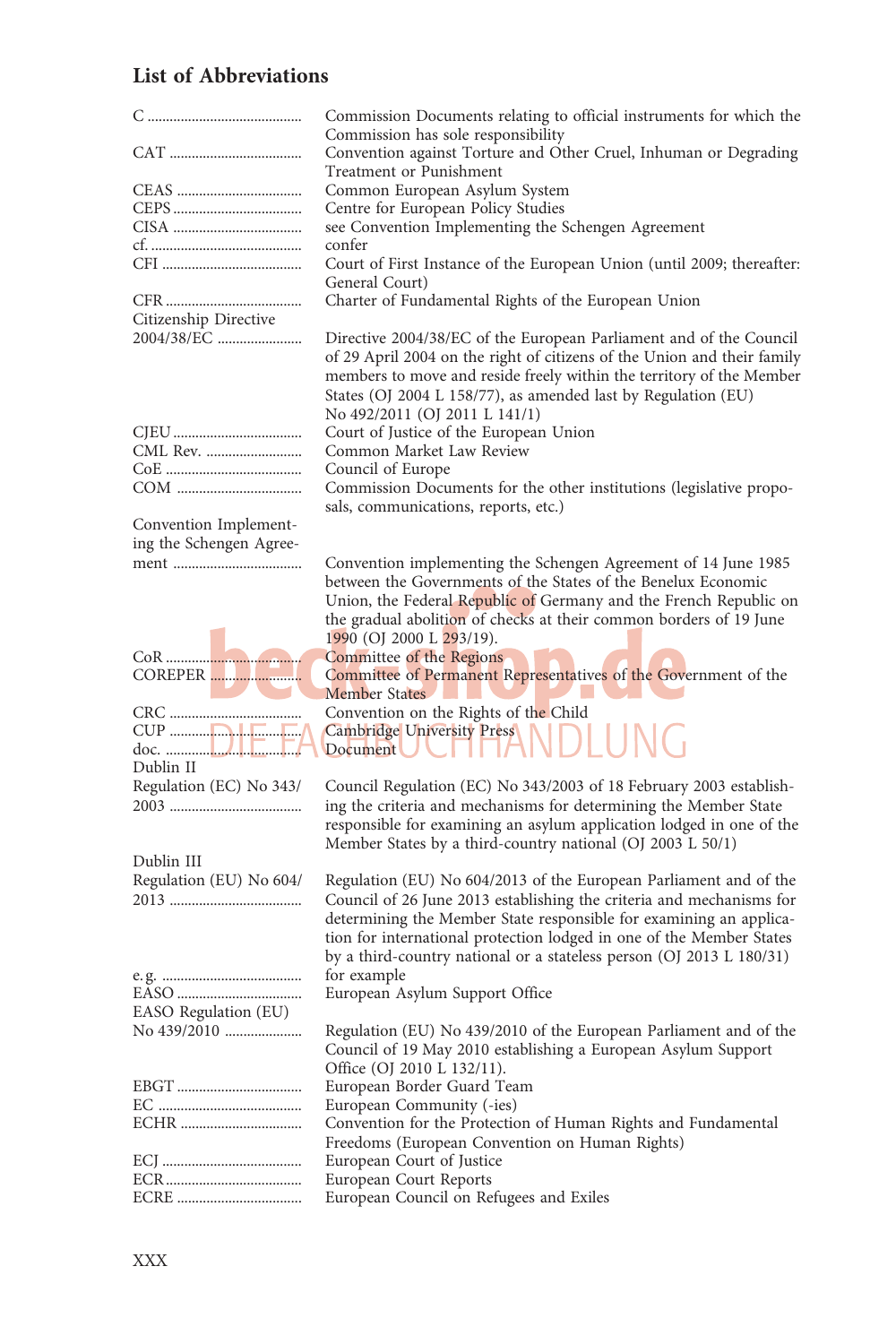#### List of Abbreviations

|                         | Commission Documents relating to official instruments for which the              |
|-------------------------|----------------------------------------------------------------------------------|
|                         | Commission has sole responsibility                                               |
|                         | Convention against Torture and Other Cruel, Inhuman or Degrading                 |
|                         | Treatment or Punishment                                                          |
|                         | Common European Asylum System                                                    |
|                         | Centre for European Policy Studies                                               |
|                         | see Convention Implementing the Schengen Agreement                               |
|                         | confer                                                                           |
|                         | Court of First Instance of the European Union (until 2009; thereafter:           |
|                         | General Court)                                                                   |
|                         | Charter of Fundamental Rights of the European Union                              |
| Citizenship Directive   |                                                                                  |
| 2004/38/EC              | Directive 2004/38/EC of the European Parliament and of the Council               |
|                         | of 29 April 2004 on the right of citizens of the Union and their family          |
|                         | members to move and reside freely within the territory of the Member             |
|                         | States (OJ 2004 L 158/77), as amended last by Regulation (EU)                    |
|                         | No 492/2011 (OJ 2011 L 141/1)                                                    |
|                         | Court of Justice of the European Union                                           |
| CML Rev.                | Common Market Law Review                                                         |
|                         | Council of Europe                                                                |
|                         | Commission Documents for the other institutions (legislative propo-              |
|                         | sals, communications, reports, etc.)                                             |
| Convention Implement-   |                                                                                  |
| ing the Schengen Agree- |                                                                                  |
|                         | Convention implementing the Schengen Agreement of 14 June 1985                   |
|                         | between the Governments of the States of the Benelux Economic                    |
|                         | Union, the Federal Republic of Germany and the French Republic on                |
|                         | the gradual abolition of checks at their common borders of 19 June               |
|                         | 1990 (OJ 2000 L 293/19).                                                         |
|                         | Committee of the Regions                                                         |
|                         | Committee of Permanent Representatives of the Government of the<br>Member States |
|                         | Convention on the Rights of the Child                                            |
|                         | Cambridge University Press                                                       |
|                         | JDI UNG<br>Document U                                                            |
| Dublin II               |                                                                                  |
| Regulation (EC) No 343/ | Council Regulation (EC) No 343/2003 of 18 February 2003 establish-               |
|                         | ing the criteria and mechanisms for determining the Member State                 |
|                         | responsible for examining an asylum application lodged in one of the             |
|                         | Member States by a third-country national (OJ 2003 L 50/1)                       |
| Dublin III              |                                                                                  |
|                         |                                                                                  |
| Regulation (EU) No 604/ | Regulation (EU) No 604/2013 of the European Parliament and of the                |
|                         | Council of 26 June 2013 establishing the criteria and mechanisms for             |
|                         | determining the Member State responsible for examining an applica-               |
|                         | tion for international protection lodged in one of the Member States             |
|                         | by a third-country national or a stateless person (OJ 2013 L 180/31)             |
|                         | for example                                                                      |
|                         | European Asylum Support Office                                                   |
| EASO Regulation (EU)    |                                                                                  |
| No 439/2010             | Regulation (EU) No 439/2010 of the European Parliament and of the                |
|                         | Council of 19 May 2010 establishing a European Asylum Support                    |
|                         | Office (OJ 2010 L 132/11).                                                       |
|                         | European Border Guard Team                                                       |
|                         | European Community (-ies)                                                        |
|                         | Convention for the Protection of Human Rights and Fundamental                    |
|                         | Freedoms (European Convention on Human Rights)                                   |
|                         | European Court of Justice                                                        |
|                         | European Court Reports                                                           |
|                         |                                                                                  |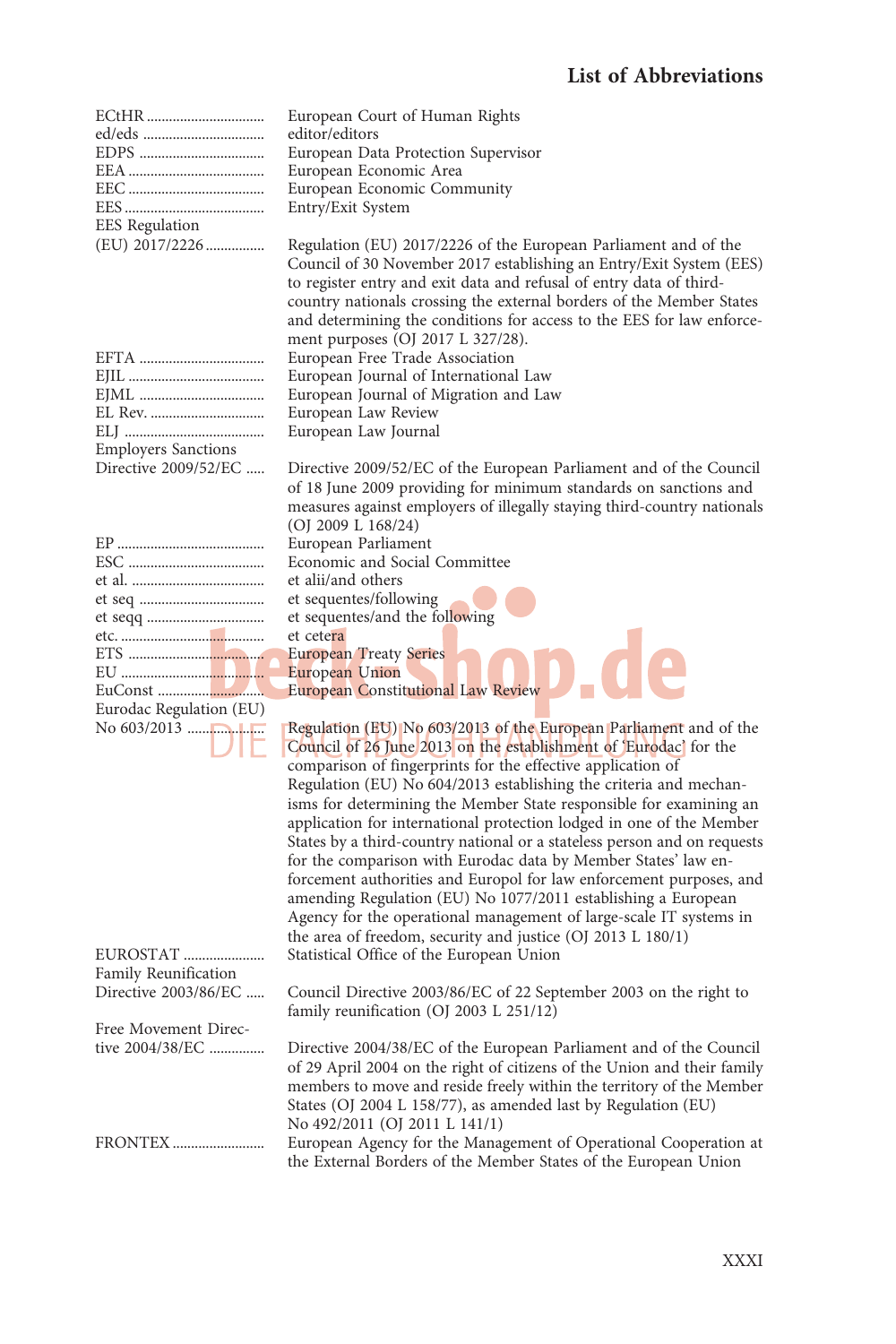| <b>EES</b> Regulation |
|-----------------------|
| (EU) 2017/2226        |

| Eurodac Regulation (EU) |  |  |  |
|-------------------------|--|--|--|

Family Reunification<br>Directive 2003/86/EC .....

Free Movement Direc-<br>tive 2004/38/EC ...............

European Court of Human Rights editor/editors European Data Protection Supervisor European Economic Area European Economic Community Entry/Exit System

Regulation (EU) 2017/2226 of the European Parliament and of the Council of 30 November 2017 establishing an Entry/Exit System (EES) to register entry and exit data and refusal of entry data of thirdcountry nationals crossing the external borders of the Member States and determining the conditions for access to the EES for law enforcement purposes (OJ 2017 L 327/28). European Free Trade Association European Journal of International Law European Journal of Migration and Law European Law Review European Law Journal

Directive 2009/52/EC of the European Parliament and of the Council of 18 June 2009 providing for minimum standards on sanctions and measures against employers of illegally staying third-country nationals (OJ 2009 L 168/24)

European Parliament Economic and Social Committee et alii/and others et sequentes/following et sequentes/and the following et cetera European Treaty Series European Union **European Constitutional Law Review** 

No 603/2013 ..................... Regulation (EU) No 603/2013 of the European Parliament and of the Council of 26 June 2013 on the establishment of 'Eurodac' for the comparison of fingerprints for the effective application of Regulation (EU) No 604/2013 establishing the criteria and mechanisms for determining the Member State responsible for examining an application for international protection lodged in one of the Member States by a third-country national or a stateless person and on requests for the comparison with Eurodac data by Member States' law enforcement authorities and Europol for law enforcement purposes, and amending Regulation (EU) No 1077/2011 establishing a European Agency for the operational management of large-scale IT systems in the area of freedom, security and justice (OJ 2013 L 180/1) EUROSTAT ...................... Statistical Office of the European Union

> Council Directive 2003/86/EC of 22 September 2003 on the right to family reunification (OJ 2003 L 251/12)

Directive 2004/38/EC of the European Parliament and of the Council of 29 April 2004 on the right of citizens of the Union and their family members to move and reside freely within the territory of the Member States (OJ 2004 L 158/77), as amended last by Regulation (EU) No 492/2011 (OJ 2011 L 141/1)

FRONTEX ......................... European Agency for the Management of Operational Cooperation at the External Borders of the Member States of the European Union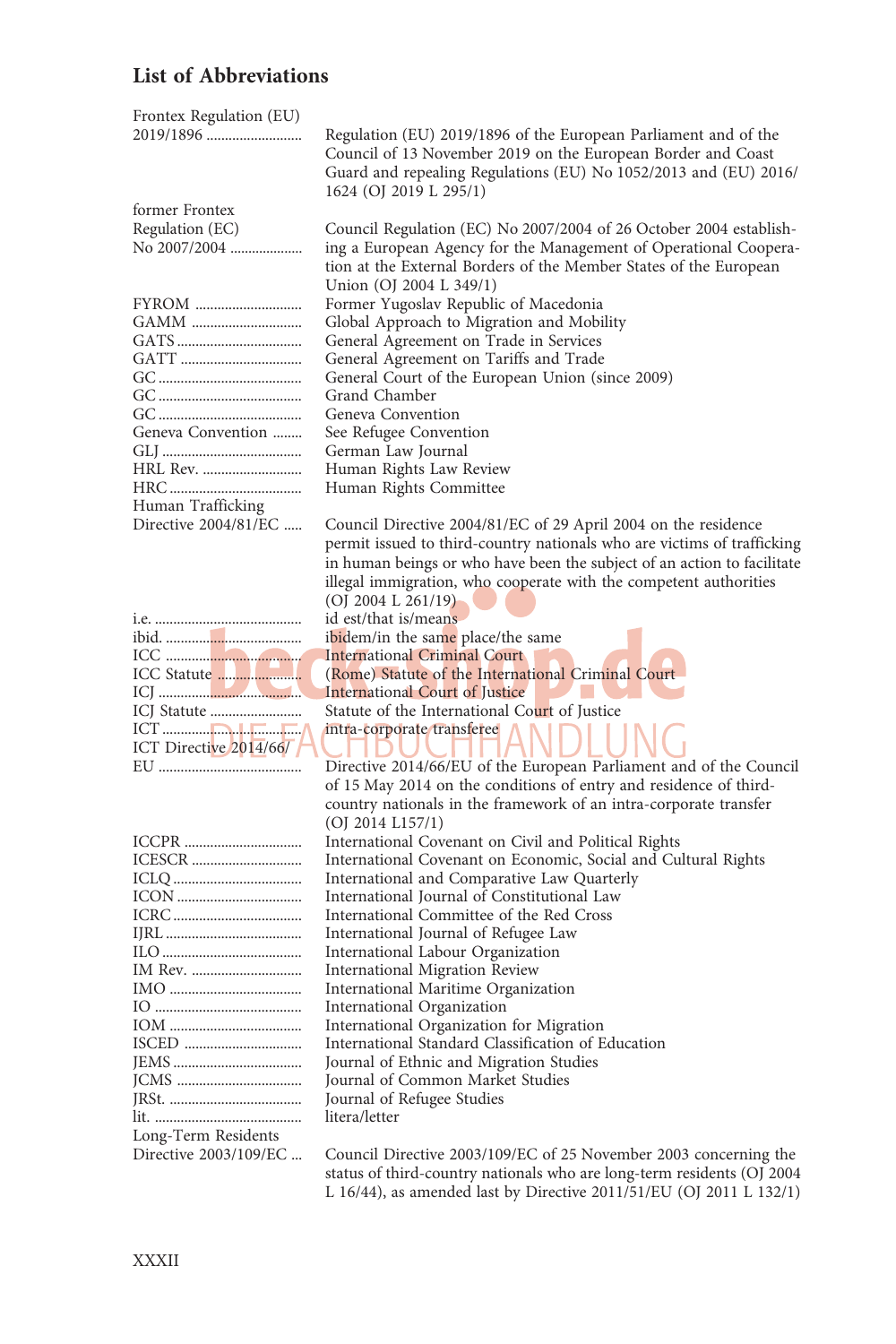#### List of Abbreviations

| Frontex Regulation (EU) |                                                                                                                                            |
|-------------------------|--------------------------------------------------------------------------------------------------------------------------------------------|
|                         | Regulation (EU) 2019/1896 of the European Parliament and of the                                                                            |
|                         | Council of 13 November 2019 on the European Border and Coast                                                                               |
|                         | Guard and repealing Regulations (EU) No 1052/2013 and (EU) 2016/                                                                           |
|                         | 1624 (OJ 2019 L 295/1)                                                                                                                     |
| former Frontex          |                                                                                                                                            |
| Regulation (EC)         | Council Regulation (EC) No 2007/2004 of 26 October 2004 establish-                                                                         |
|                         |                                                                                                                                            |
| No 2007/2004            | ing a European Agency for the Management of Operational Coopera-                                                                           |
|                         | tion at the External Borders of the Member States of the European                                                                          |
|                         | Union (OJ 2004 L 349/1)                                                                                                                    |
|                         | Former Yugoslav Republic of Macedonia                                                                                                      |
|                         | Global Approach to Migration and Mobility                                                                                                  |
|                         | General Agreement on Trade in Services                                                                                                     |
|                         | General Agreement on Tariffs and Trade                                                                                                     |
|                         | General Court of the European Union (since 2009)                                                                                           |
|                         | Grand Chamber                                                                                                                              |
|                         | Geneva Convention                                                                                                                          |
| Geneva Convention       | See Refugee Convention                                                                                                                     |
|                         | German Law Journal                                                                                                                         |
|                         | Human Rights Law Review                                                                                                                    |
|                         | Human Rights Committee                                                                                                                     |
| Human Trafficking       |                                                                                                                                            |
| Directive 2004/81/EC    | Council Directive 2004/81/EC of 29 April 2004 on the residence                                                                             |
|                         | permit issued to third-country nationals who are victims of trafficking                                                                    |
|                         | in human beings or who have been the subject of an action to facilitate                                                                    |
|                         | illegal immigration, who cooperate with the competent authorities                                                                          |
|                         | (OJ 2004 L 261/19)                                                                                                                         |
|                         | id est/that is/means                                                                                                                       |
|                         | ibidem/in the same place/the same                                                                                                          |
|                         | <b>International Criminal Court</b>                                                                                                        |
|                         | (Rome) Statute of the International Criminal Court                                                                                         |
|                         | International Court of Justice                                                                                                             |
|                         | Statute of the International Court of Justice                                                                                              |
|                         | intra-corporate transferee                                                                                                                 |
| ICT Directive 2014/66/  |                                                                                                                                            |
|                         | Directive 2014/66/EU of the European Parliament and of the Council                                                                         |
|                         | of 15 May 2014 on the conditions of entry and residence of third-                                                                          |
|                         | country nationals in the framework of an intra-corporate transfer                                                                          |
|                         | (OJ 2014 L157/1)                                                                                                                           |
|                         | International Covenant on Civil and Political Rights                                                                                       |
|                         | International Covenant on Economic, Social and Cultural Rights                                                                             |
|                         | International and Comparative Law Quarterly                                                                                                |
|                         | International Journal of Constitutional Law                                                                                                |
|                         | International Committee of the Red Cross                                                                                                   |
|                         | International Journal of Refugee Law                                                                                                       |
|                         | International Labour Organization                                                                                                          |
|                         | International Migration Review                                                                                                             |
|                         | International Maritime Organization                                                                                                        |
|                         | International Organization                                                                                                                 |
|                         | International Organization for Migration                                                                                                   |
|                         | International Standard Classification of Education                                                                                         |
|                         | Journal of Ethnic and Migration Studies                                                                                                    |
|                         | Journal of Common Market Studies                                                                                                           |
|                         | Journal of Refugee Studies                                                                                                                 |
|                         | litera/letter                                                                                                                              |
| Long-Term Residents     |                                                                                                                                            |
| Directive 2003/109/EC   | Council Directive 2003/109/EC of 25 November 2003 concerning the<br>status of third-country nationals who are long-term residents (OJ 2004 |

L 16/44), as amended last by Directive 2011/51/EU (OJ 2011 L 132/1)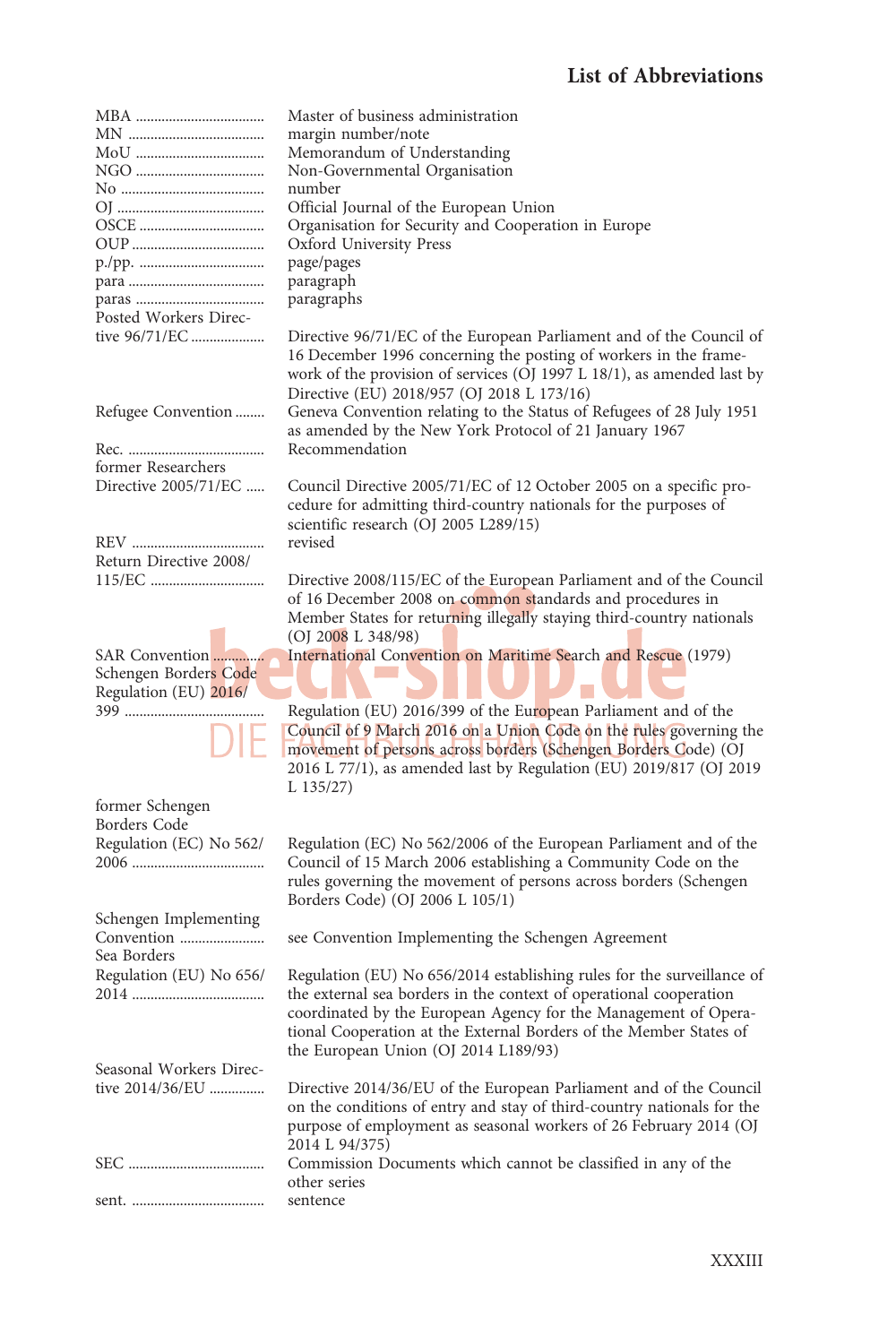|                                         | Master of business administration<br>margin number/note<br>Memorandum of Understanding<br>Non-Governmental Organisation<br>number                                                                                                                                                                                             |
|-----------------------------------------|-------------------------------------------------------------------------------------------------------------------------------------------------------------------------------------------------------------------------------------------------------------------------------------------------------------------------------|
|                                         | Official Journal of the European Union<br>Organisation for Security and Cooperation in Europe<br>Oxford University Press<br>page/pages                                                                                                                                                                                        |
| Posted Workers Direc-                   | paragraph<br>paragraphs                                                                                                                                                                                                                                                                                                       |
| tive 96/71/EC                           | Directive 96/71/EC of the European Parliament and of the Council of<br>16 December 1996 concerning the posting of workers in the frame-<br>work of the provision of services (OJ 1997 L 18/1), as amended last by<br>Directive (EU) 2018/957 (OJ 2018 L 173/16)                                                               |
| Refugee Convention                      | Geneva Convention relating to the Status of Refugees of 28 July 1951<br>as amended by the New York Protocol of 21 January 1967<br>Recommendation                                                                                                                                                                              |
| former Researchers                      |                                                                                                                                                                                                                                                                                                                               |
| Directive 2005/71/EC                    | Council Directive 2005/71/EC of 12 October 2005 on a specific pro-<br>cedure for admitting third-country nationals for the purposes of<br>scientific research (OJ 2005 L289/15)                                                                                                                                               |
|                                         | revised                                                                                                                                                                                                                                                                                                                       |
| Return Directive 2008/                  |                                                                                                                                                                                                                                                                                                                               |
|                                         | Directive 2008/115/EC of the European Parliament and of the Council<br>of 16 December 2008 on common standards and procedures in<br>Member States for returning illegally staying third-country nationals                                                                                                                     |
|                                         | (OJ 2008 L 348/98)                                                                                                                                                                                                                                                                                                            |
| SAR Convention<br>Schengen Borders Code | International Convention on Maritime Search and Rescue (1979)                                                                                                                                                                                                                                                                 |
| Regulation (EU) 2016/                   |                                                                                                                                                                                                                                                                                                                               |
|                                         | Regulation (EU) 2016/399 of the European Parliament and of the<br>Council of 9 March 2016 on a Union Code on the rules governing the<br>movement of persons across borders (Schengen Borders Code) (OJ<br>2016 L 77/1), as amended last by Regulation (EU) 2019/817 (OJ 2019<br>L $135/27$ )                                  |
| former Schengen<br>Borders Code         |                                                                                                                                                                                                                                                                                                                               |
| Regulation (EC) No 562/                 | Regulation (EC) No 562/2006 of the European Parliament and of the<br>Council of 15 March 2006 establishing a Community Code on the<br>rules governing the movement of persons across borders (Schengen<br>Borders Code) (OJ 2006 L 105/1)                                                                                     |
| Schengen Implementing<br>Sea Borders    | see Convention Implementing the Schengen Agreement                                                                                                                                                                                                                                                                            |
| Regulation (EU) No 656/                 | Regulation (EU) No 656/2014 establishing rules for the surveillance of<br>the external sea borders in the context of operational cooperation<br>coordinated by the European Agency for the Management of Opera-<br>tional Cooperation at the External Borders of the Member States of<br>the European Union (OJ 2014 L189/93) |
| Seasonal Workers Direc-                 |                                                                                                                                                                                                                                                                                                                               |
| tive 2014/36/EU                         | Directive 2014/36/EU of the European Parliament and of the Council<br>on the conditions of entry and stay of third-country nationals for the<br>purpose of employment as seasonal workers of 26 February 2014 (OJ<br>2014 L 94/375)                                                                                           |
|                                         | Commission Documents which cannot be classified in any of the                                                                                                                                                                                                                                                                 |
|                                         | other series<br>sentence                                                                                                                                                                                                                                                                                                      |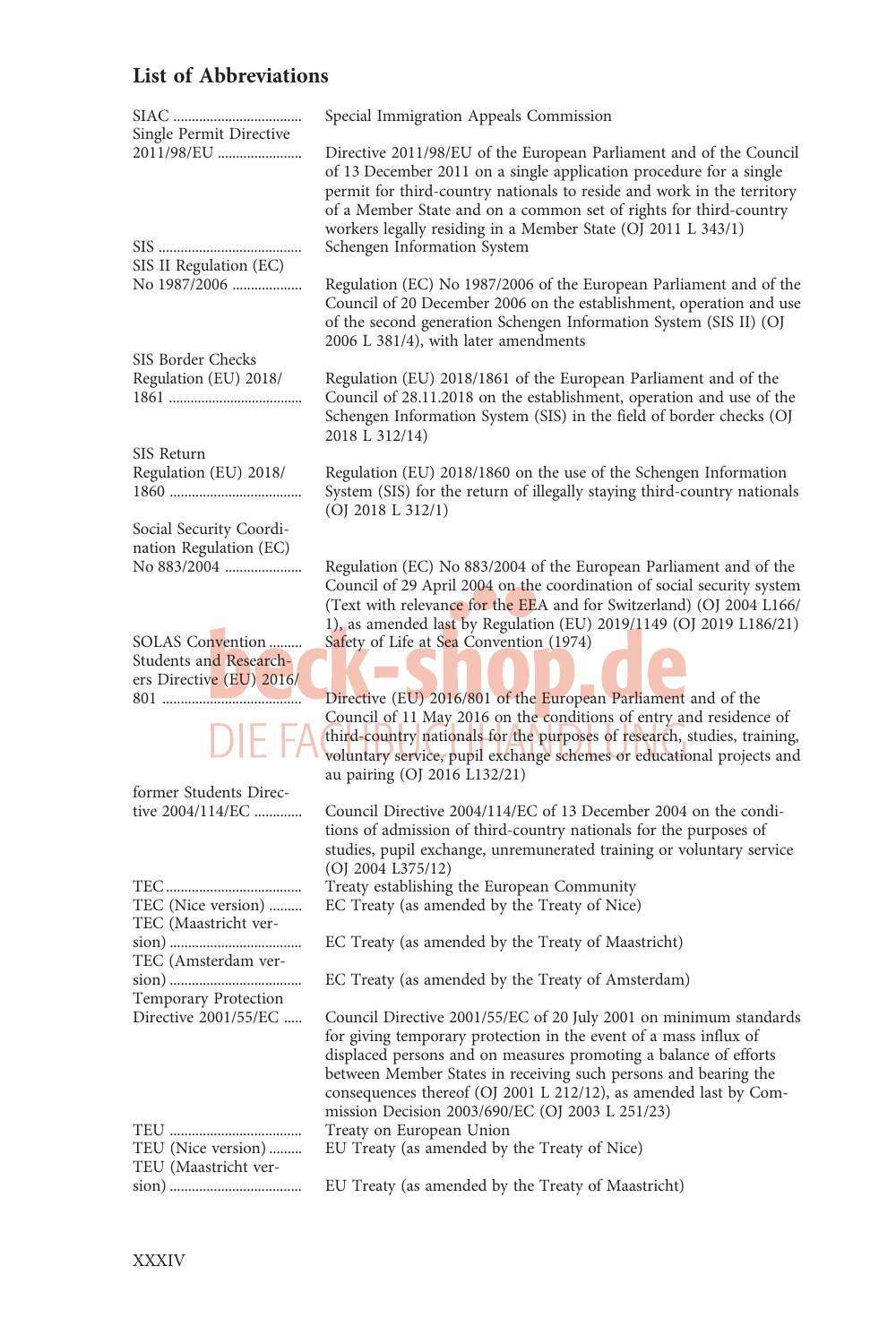#### List of Abbreviations

| Single Permit Directive                    | Special Immigration Appeals Commission                                                                                                                                                                                                                                                                                                                  |
|--------------------------------------------|---------------------------------------------------------------------------------------------------------------------------------------------------------------------------------------------------------------------------------------------------------------------------------------------------------------------------------------------------------|
| 2011/98/EU                                 | Directive 2011/98/EU of the European Parliament and of the Council<br>of 13 December 2011 on a single application procedure for a single<br>permit for third-country nationals to reside and work in the territory<br>of a Member State and on a common set of rights for third-country<br>workers legally residing in a Member State (OJ 2011 L 343/1) |
| SIS II Regulation (EC)                     | Schengen Information System                                                                                                                                                                                                                                                                                                                             |
| No 1987/2006                               | Regulation (EC) No 1987/2006 of the European Parliament and of the<br>Council of 20 December 2006 on the establishment, operation and use<br>of the second generation Schengen Information System (SIS II) (OJ<br>2006 L 381/4), with later amendments                                                                                                  |
| SIS Border Checks                          |                                                                                                                                                                                                                                                                                                                                                         |
| Regulation (EU) 2018/                      | Regulation (EU) 2018/1861 of the European Parliament and of the<br>Council of 28.11.2018 on the establishment, operation and use of the<br>Schengen Information System (SIS) in the field of border checks (OJ                                                                                                                                          |
| SIS Return                                 | 2018 L 312/14)                                                                                                                                                                                                                                                                                                                                          |
| Regulation (EU) 2018/                      | Regulation (EU) 2018/1860 on the use of the Schengen Information<br>System (SIS) for the return of illegally staying third-country nationals<br>(OJ 2018 L 312/1)                                                                                                                                                                                       |
| Social Security Coordi-                    |                                                                                                                                                                                                                                                                                                                                                         |
| nation Regulation (EC)                     |                                                                                                                                                                                                                                                                                                                                                         |
| No 883/2004                                | Regulation (EC) No 883/2004 of the European Parliament and of the<br>Council of 29 April 2004 on the coordination of social security system<br>(Text with relevance for the EEA and for Switzerland) (OJ 2004 L166/<br>1), as amended last by Regulation (EU) 2019/1149 (OJ 2019 L186/21)                                                               |
| SOLAS Convention                           | Safety of Life at Sea Convention (1974)                                                                                                                                                                                                                                                                                                                 |
| Students and Research-                     |                                                                                                                                                                                                                                                                                                                                                         |
| ers Directive (EU) 2016/                   |                                                                                                                                                                                                                                                                                                                                                         |
|                                            | Directive (EU) 2016/801 of the European Parliament and of the                                                                                                                                                                                                                                                                                           |
| DIE FA                                     | Council of 11 May 2016 on the conditions of entry and residence of<br>third-country nationals for the purposes of research, studies, training,<br>voluntary service, pupil exchange schemes or educational projects and<br>au pairing (OJ 2016 L132/21)                                                                                                 |
| former Students Direc-                     |                                                                                                                                                                                                                                                                                                                                                         |
| tive 2004/114/EC                           | Council Directive 2004/114/EC of 13 December 2004 on the condi-<br>tions of admission of third-country nationals for the purposes of                                                                                                                                                                                                                    |
|                                            | studies, pupil exchange, unremunerated training or voluntary service<br>(OJ 2004 L375/12)                                                                                                                                                                                                                                                               |
|                                            | Treaty establishing the European Community                                                                                                                                                                                                                                                                                                              |
| TEC (Nice version)<br>TEC (Maastricht ver- | EC Treaty (as amended by the Treaty of Nice)                                                                                                                                                                                                                                                                                                            |
| TEC (Amsterdam ver-                        | EC Treaty (as amended by the Treaty of Maastricht)                                                                                                                                                                                                                                                                                                      |
| Temporary Protection                       | EC Treaty (as amended by the Treaty of Amsterdam)                                                                                                                                                                                                                                                                                                       |
| Directive 2001/55/EC                       | Council Directive 2001/55/EC of 20 July 2001 on minimum standards                                                                                                                                                                                                                                                                                       |
|                                            | for giving temporary protection in the event of a mass influx of<br>displaced persons and on measures promoting a balance of efforts<br>between Member States in receiving such persons and bearing the<br>consequences thereof (OJ 2001 L 212/12), as amended last by Com-<br>mission Decision 2003/690/EC (OJ 2003 L 251/23)                          |
| TEU (Nice version)                         | Treaty on European Union<br>EU Treaty (as amended by the Treaty of Nice)                                                                                                                                                                                                                                                                                |
| TEU (Maastricht ver-                       | EU Treaty (as amended by the Treaty of Maastricht)                                                                                                                                                                                                                                                                                                      |
|                                            |                                                                                                                                                                                                                                                                                                                                                         |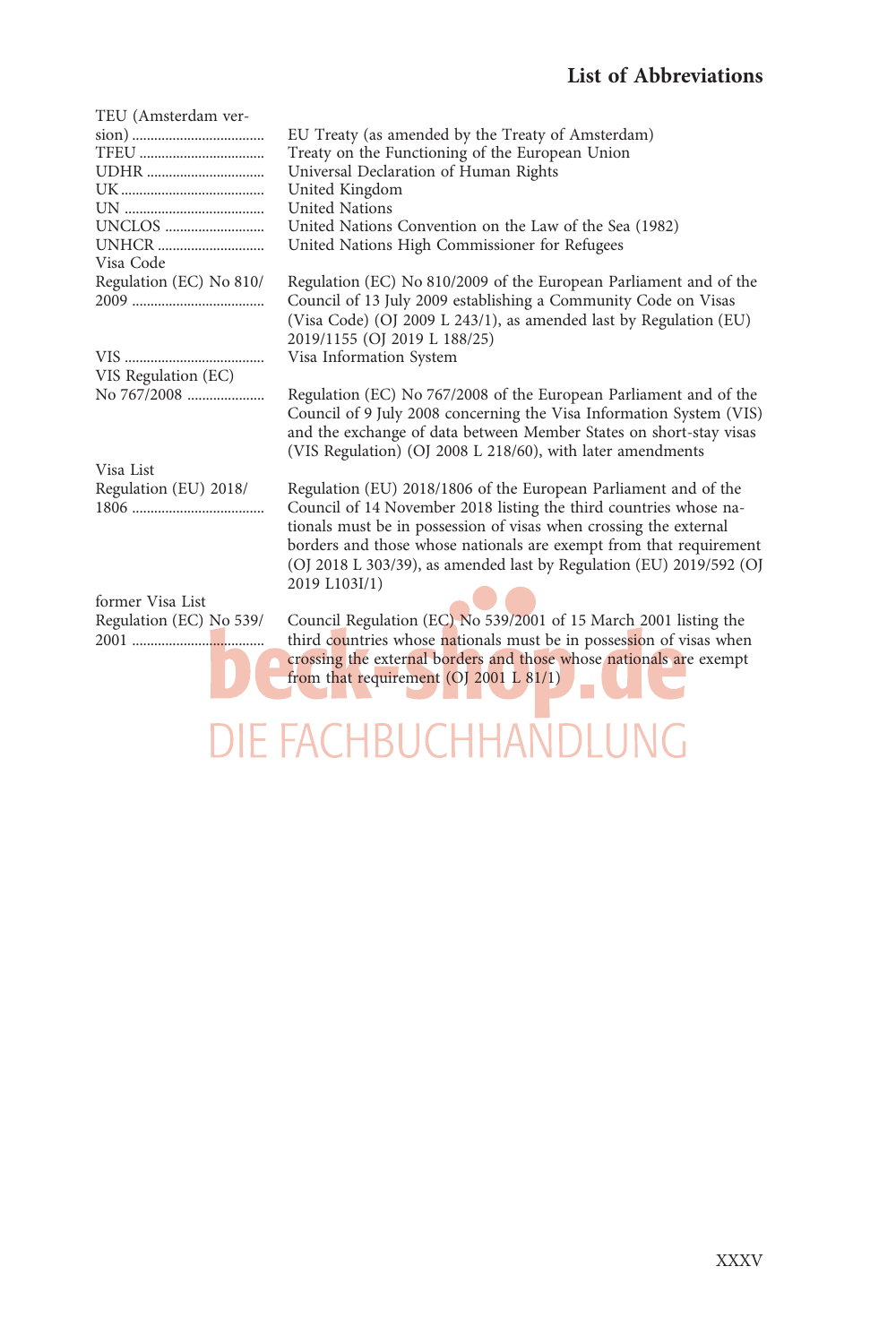| TEU (Amsterdam ver-     |
|-------------------------|
|                         |
| TFEU                    |
|                         |
|                         |
|                         |
|                         |
|                         |
|                         |
| Visa Code               |
|                         |
| Regulation (EC) No 810/ |
|                         |
|                         |

| VIS Regulation (EC) |
|---------------------|
|                     |

Visa List Regulation (EU) 2018/ 1806 ....................................

former Visa List Regulation (EC) No 539/ 2001 ....................................

EU Treaty (as amended by the Treaty of Amsterdam) Treaty on the Functioning of the European Union Universal Declaration of Human Rights United Kingdom United Nations United Nations Convention on the Law of the Sea (1982) United Nations High Commissioner for Refugees

Regulation (EC) No 810/2009 of the European Parliament and of the Council of 13 July 2009 establishing a Community Code on Visas (Visa Code) (OJ 2009 L 243/1), as amended last by Regulation (EU) 2019/1155 (OJ 2019 L 188/25) Visa Information System

Regulation (EC) No 767/2008 of the European Parliament and of the Council of 9 July 2008 concerning the Visa Information System (VIS) and the exchange of data between Member States on short-stay visas (VIS Regulation) (OJ 2008 L 218/60), with later amendments

Regulation (EU) 2018/1806 of the European Parliament and of the Council of 14 November 2018 listing the third countries whose nationals must be in possession of visas when crossing the external borders and those whose nationals are exempt from that requirement (OJ 2018 L 303/39), as amended last by Regulation (EU) 2019/592 (OJ 2019 L103I/1)

Council Regulation (EC) No 539/2001 of 15 March 2001 listing the third countries whose nationals must be in possession of visas when crossing the external borders and those whose nationals are exempt from that requirement (OJ 2001 L 81/1)

DIE FACHBUCHHANDLUNG